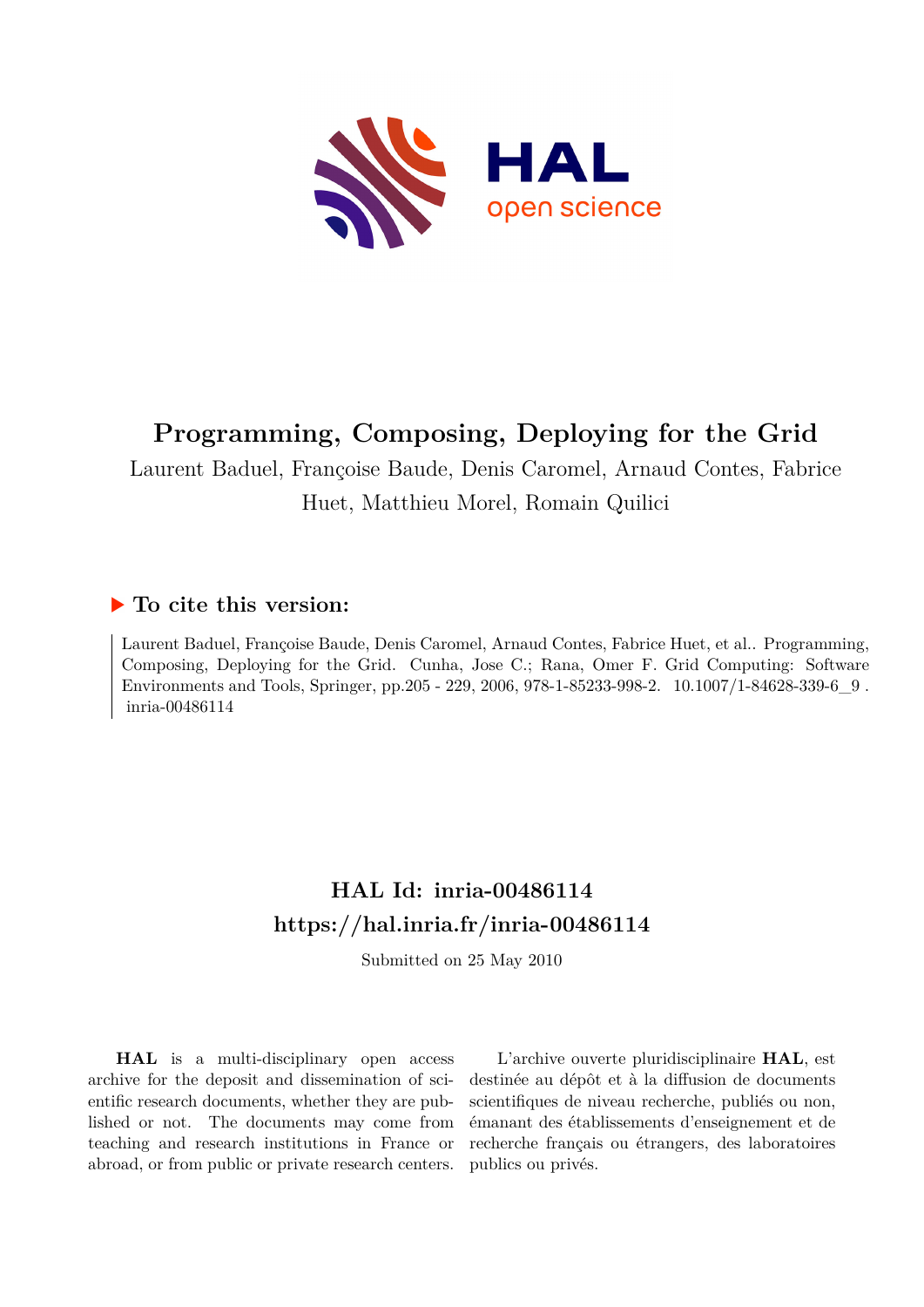

# **Programming, Composing, Deploying for the Grid**

Laurent Baduel, Françoise Baude, Denis Caromel, Arnaud Contes, Fabrice Huet, Matthieu Morel, Romain Quilici

# **To cite this version:**

Laurent Baduel, Françoise Baude, Denis Caromel, Arnaud Contes, Fabrice Huet, et al.. Programming, Composing, Deploying for the Grid. Cunha, Jose C.; Rana, Omer F. Grid Computing: Software Environments and Tools, Springer, pp.205 - 229, 2006, 978-1-85233-998-2.  $10.1007/1-84628-339-699$ . inria-00486114

# **HAL Id: inria-00486114 <https://hal.inria.fr/inria-00486114>**

Submitted on 25 May 2010

**HAL** is a multi-disciplinary open access archive for the deposit and dissemination of scientific research documents, whether they are published or not. The documents may come from teaching and research institutions in France or abroad, or from public or private research centers.

L'archive ouverte pluridisciplinaire **HAL**, est destinée au dépôt et à la diffusion de documents scientifiques de niveau recherche, publiés ou non, émanant des établissements d'enseignement et de recherche français ou étrangers, des laboratoires publics ou privés.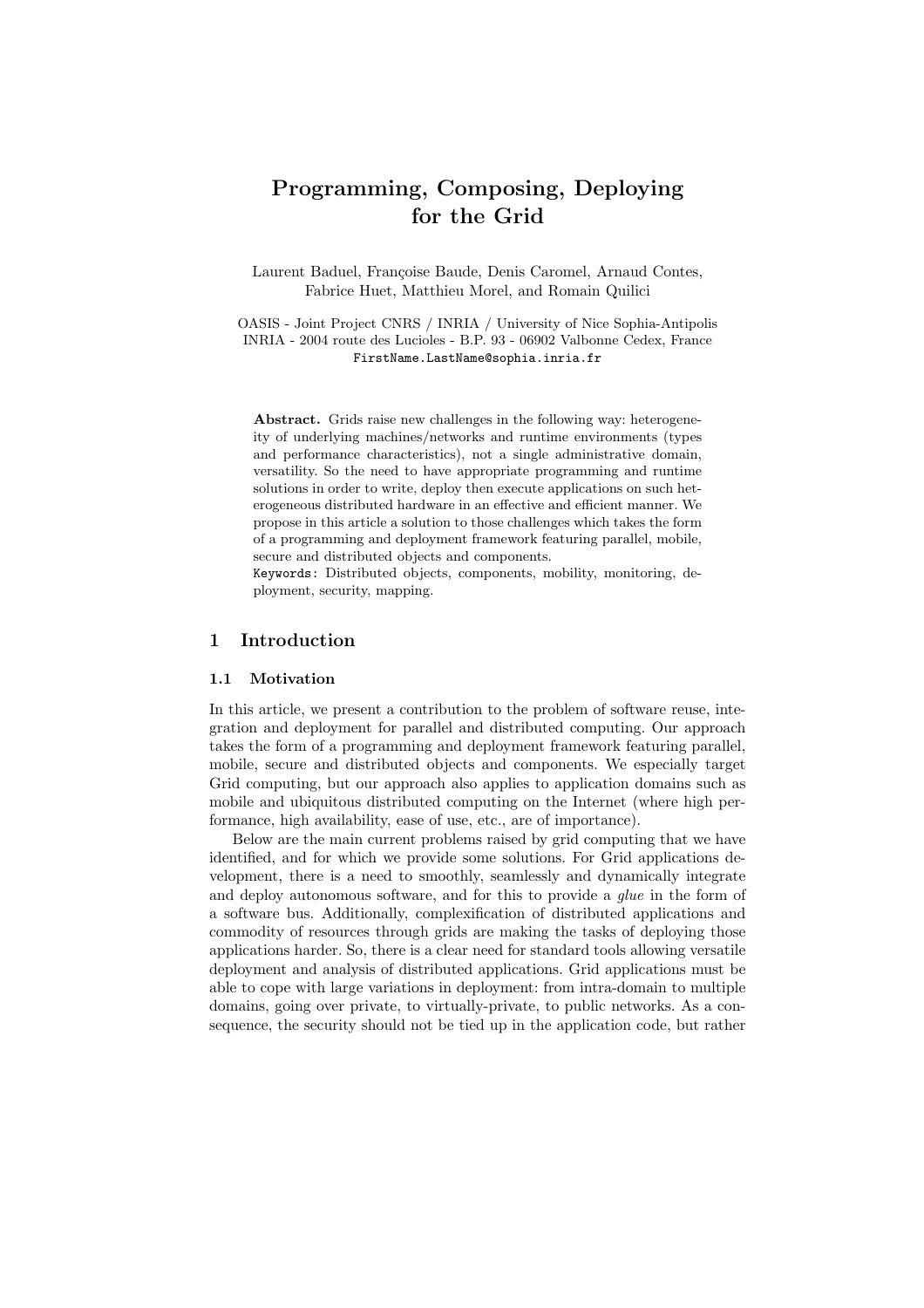# Programming, Composing, Deploying for the Grid

Laurent Baduel, Françoise Baude, Denis Caromel, Arnaud Contes, Fabrice Huet, Matthieu Morel, and Romain Quilici

OASIS - Joint Project CNRS / INRIA / University of Nice Sophia-Antipolis INRIA - 2004 route des Lucioles - B.P. 93 - 06902 Valbonne Cedex, France FirstName.LastName@sophia.inria.fr

Abstract. Grids raise new challenges in the following way: heterogeneity of underlying machines/networks and runtime environments (types and performance characteristics), not a single administrative domain, versatility. So the need to have appropriate programming and runtime solutions in order to write, deploy then execute applications on such heterogeneous distributed hardware in an effective and efficient manner. We propose in this article a solution to those challenges which takes the form of a programming and deployment framework featuring parallel, mobile, secure and distributed objects and components.

Keywords: Distributed objects, components, mobility, monitoring, deployment, security, mapping.

# 1 Introduction

#### 1.1 Motivation

In this article, we present a contribution to the problem of software reuse, integration and deployment for parallel and distributed computing. Our approach takes the form of a programming and deployment framework featuring parallel, mobile, secure and distributed objects and components. We especially target Grid computing, but our approach also applies to application domains such as mobile and ubiquitous distributed computing on the Internet (where high performance, high availability, ease of use, etc., are of importance).

Below are the main current problems raised by grid computing that we have identified, and for which we provide some solutions. For Grid applications development, there is a need to smoothly, seamlessly and dynamically integrate and deploy autonomous software, and for this to provide a *qlue* in the form of a software bus. Additionally, complexification of distributed applications and commodity of resources through grids are making the tasks of deploying those applications harder. So, there is a clear need for standard tools allowing versatile deployment and analysis of distributed applications. Grid applications must be able to cope with large variations in deployment: from intra-domain to multiple domains, going over private, to virtually-private, to public networks. As a consequence, the security should not be tied up in the application code, but rather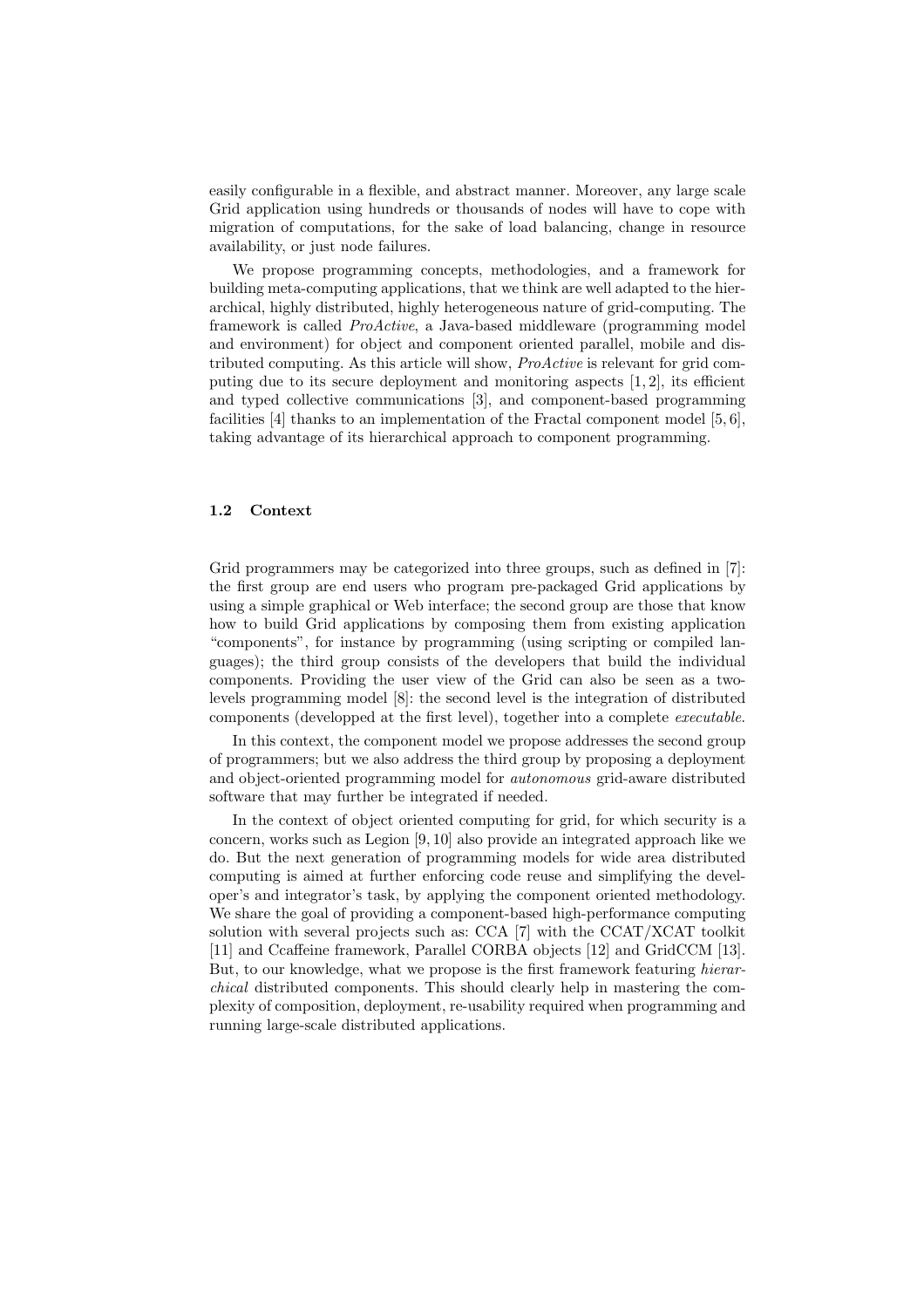easily configurable in a flexible, and abstract manner. Moreover, any large scale Grid application using hundreds or thousands of nodes will have to cope with migration of computations, for the sake of load balancing, change in resource availability, or just node failures.

We propose programming concepts, methodologies, and a framework for building meta-computing applications, that we think are well adapted to the hierarchical, highly distributed, highly heterogeneous nature of grid-computing. The framework is called ProActive, a Java-based middleware (programming model and environment) for object and component oriented parallel, mobile and distributed computing. As this article will show, ProActive is relevant for grid computing due to its secure deployment and monitoring aspects [1, 2], its efficient and typed collective communications [3], and component-based programming facilities [4] thanks to an implementation of the Fractal component model [5, 6], taking advantage of its hierarchical approach to component programming.

# 1.2 Context

Grid programmers may be categorized into three groups, such as defined in [7]: the first group are end users who program pre-packaged Grid applications by using a simple graphical or Web interface; the second group are those that know how to build Grid applications by composing them from existing application "components", for instance by programming (using scripting or compiled languages); the third group consists of the developers that build the individual components. Providing the user view of the Grid can also be seen as a twolevels programming model [8]: the second level is the integration of distributed components (developped at the first level), together into a complete executable.

In this context, the component model we propose addresses the second group of programmers; but we also address the third group by proposing a deployment and object-oriented programming model for autonomous grid-aware distributed software that may further be integrated if needed.

In the context of object oriented computing for grid, for which security is a concern, works such as Legion [9, 10] also provide an integrated approach like we do. But the next generation of programming models for wide area distributed computing is aimed at further enforcing code reuse and simplifying the developer's and integrator's task, by applying the component oriented methodology. We share the goal of providing a component-based high-performance computing solution with several projects such as: CCA [7] with the CCAT/XCAT toolkit [11] and Ccaffeine framework, Parallel CORBA objects [12] and GridCCM [13]. But, to our knowledge, what we propose is the first framework featuring hierarchical distributed components. This should clearly help in mastering the complexity of composition, deployment, re-usability required when programming and running large-scale distributed applications.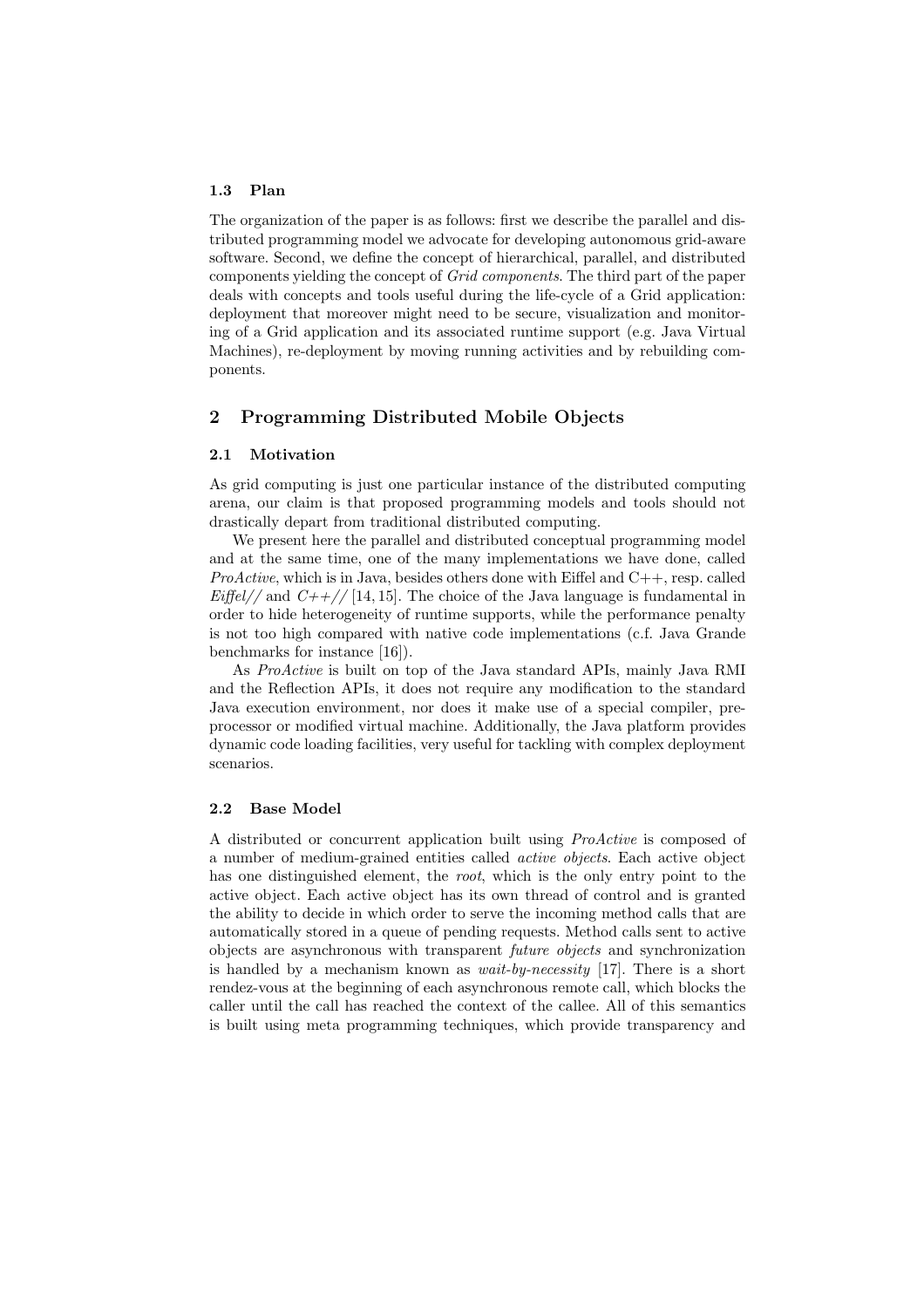#### 1.3 Plan

The organization of the paper is as follows: first we describe the parallel and distributed programming model we advocate for developing autonomous grid-aware software. Second, we define the concept of hierarchical, parallel, and distributed components yielding the concept of Grid components. The third part of the paper deals with concepts and tools useful during the life-cycle of a Grid application: deployment that moreover might need to be secure, visualization and monitoring of a Grid application and its associated runtime support (e.g. Java Virtual Machines), re-deployment by moving running activities and by rebuilding components.

# 2 Programming Distributed Mobile Objects

#### 2.1 Motivation

As grid computing is just one particular instance of the distributed computing arena, our claim is that proposed programming models and tools should not drastically depart from traditional distributed computing.

We present here the parallel and distributed conceptual programming model and at the same time, one of the many implementations we have done, called ProActive, which is in Java, besides others done with Eiffel and  $C_{++}$ , resp. called Eiffel// and  $C++//$  [14, 15]. The choice of the Java language is fundamental in order to hide heterogeneity of runtime supports, while the performance penalty is not too high compared with native code implementations (c.f. Java Grande benchmarks for instance [16]).

As ProActive is built on top of the Java standard APIs, mainly Java RMI and the Reflection APIs, it does not require any modification to the standard Java execution environment, nor does it make use of a special compiler, preprocessor or modified virtual machine. Additionally, the Java platform provides dynamic code loading facilities, very useful for tackling with complex deployment scenarios.

#### 2.2 Base Model

A distributed or concurrent application built using ProActive is composed of a number of medium-grained entities called active objects. Each active object has one distinguished element, the root, which is the only entry point to the active object. Each active object has its own thread of control and is granted the ability to decide in which order to serve the incoming method calls that are automatically stored in a queue of pending requests. Method calls sent to active objects are asynchronous with transparent future objects and synchronization is handled by a mechanism known as wait-by-necessity [17]. There is a short rendez-vous at the beginning of each asynchronous remote call, which blocks the caller until the call has reached the context of the callee. All of this semantics is built using meta programming techniques, which provide transparency and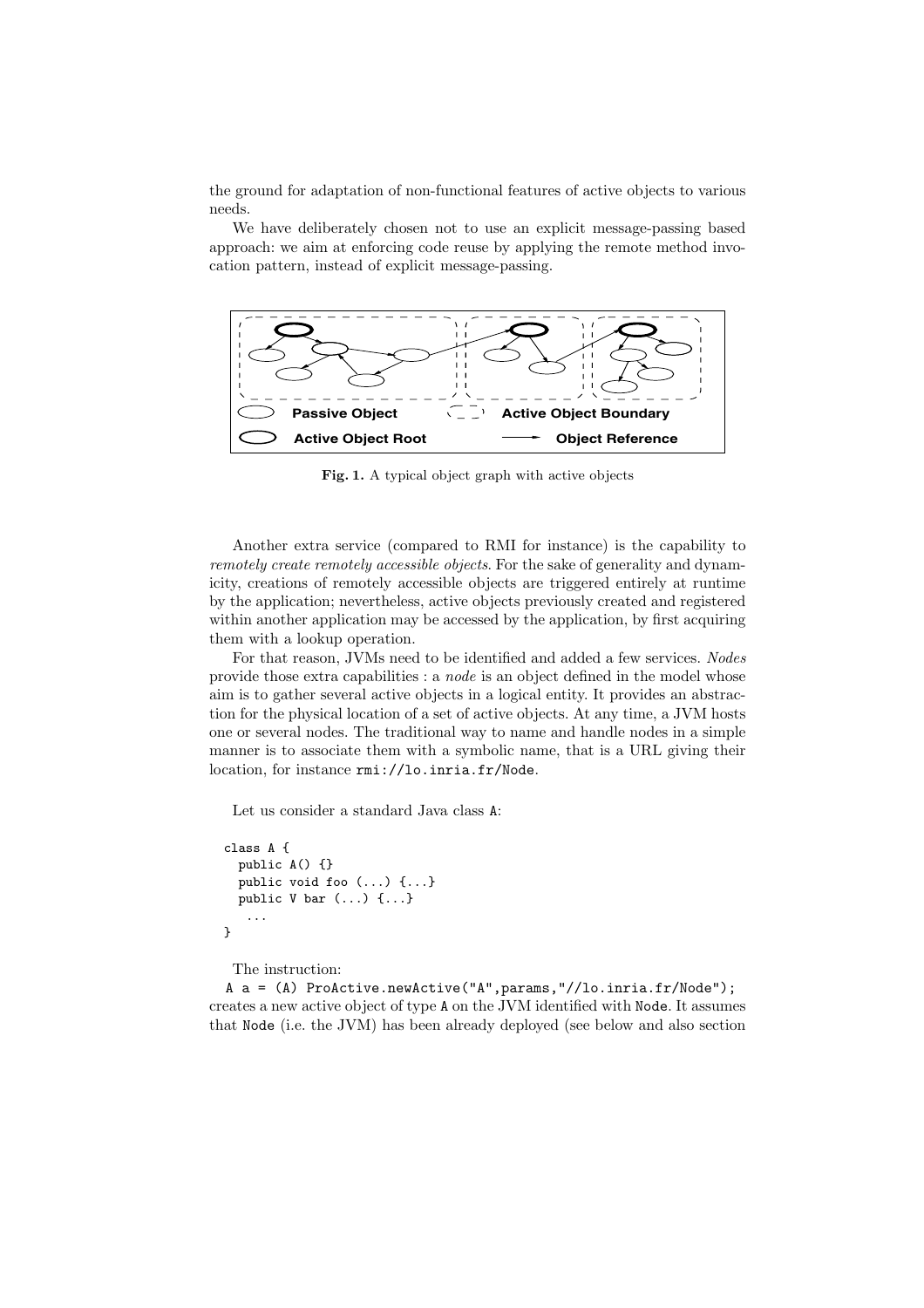the ground for adaptation of non-functional features of active objects to various needs.

We have deliberately chosen not to use an explicit message-passing based approach: we aim at enforcing code reuse by applying the remote method invocation pattern, instead of explicit message-passing.



Fig. 1. A typical object graph with active objects

Another extra service (compared to RMI for instance) is the capability to remotely create remotely accessible objects. For the sake of generality and dynamicity, creations of remotely accessible objects are triggered entirely at runtime by the application; nevertheless, active objects previously created and registered within another application may be accessed by the application, by first acquiring them with a lookup operation.

For that reason, JVMs need to be identified and added a few services. Nodes provide those extra capabilities : a node is an object defined in the model whose aim is to gather several active objects in a logical entity. It provides an abstraction for the physical location of a set of active objects. At any time, a JVM hosts one or several nodes. The traditional way to name and handle nodes in a simple manner is to associate them with a symbolic name, that is a URL giving their location, for instance rmi://lo.inria.fr/Node.

Let us consider a standard Java class A:

```
class A {
  public A() {}
  public void foo (...) {...}
  public V bar (...) {...}
   ...
}
```
The instruction:

A a = (A) ProActive.newActive("A",params,"//lo.inria.fr/Node"); creates a new active object of type A on the JVM identified with Node. It assumes that Node (i.e. the JVM) has been already deployed (see below and also section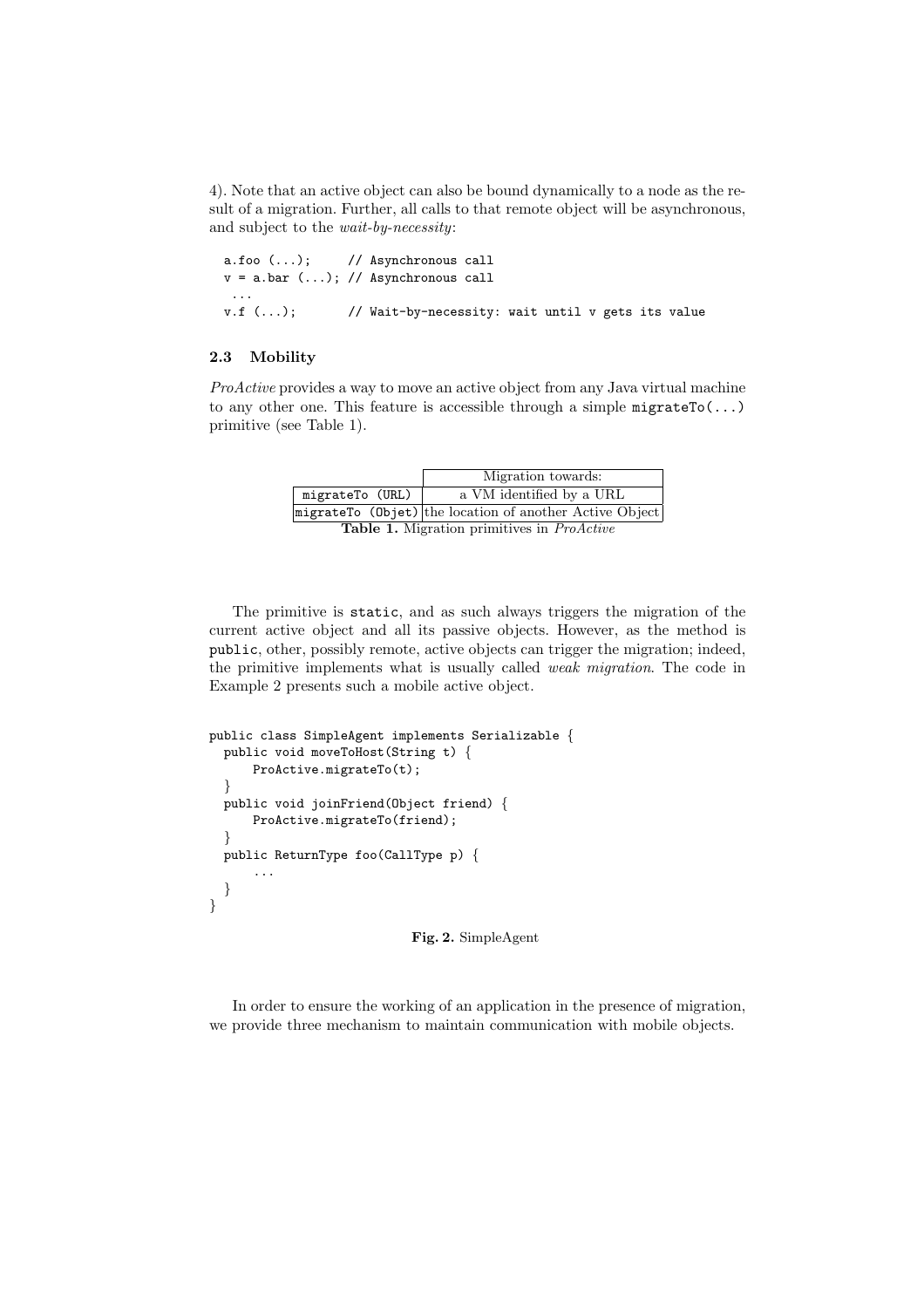4). Note that an active object can also be bound dynamically to a node as the result of a migration. Further, all calls to that remote object will be asynchronous, and subject to the wait-by-necessity:

```
a.foo (...); // Asynchronous call
v = a.bar (...); // Asynchronous call
 ...
v.f (...); // Wait-by-necessity: wait until v gets its value
```
#### 2.3 Mobility

ProActive provides a way to move an active object from any Java virtual machine to any other one. This feature is accessible through a simple  $\text{mignerateTo}(\ldots)$ primitive (see Table 1).

|                                                          |                 | Migration towards:                                       |
|----------------------------------------------------------|-----------------|----------------------------------------------------------|
|                                                          |                 |                                                          |
|                                                          | migrateTo (URL) | a VM identified by a URL                                 |
|                                                          |                 | migrate To (Objet) the location of another Active Object |
| <b>Table 1.</b> Migration primitives in <i>ProActive</i> |                 |                                                          |

The primitive is static, and as such always triggers the migration of the current active object and all its passive objects. However, as the method is public, other, possibly remote, active objects can trigger the migration; indeed, the primitive implements what is usually called weak migration. The code in Example 2 presents such a mobile active object.

```
public class SimpleAgent implements Serializable {
 public void moveToHost(String t) {
     ProActive.migrateTo(t);
  }
 public void joinFriend(Object friend) {
      ProActive.migrateTo(friend);
  }
 public ReturnType foo(CallType p) {
      ...
 }
}
```
Fig. 2. SimpleAgent

In order to ensure the working of an application in the presence of migration, we provide three mechanism to maintain communication with mobile objects.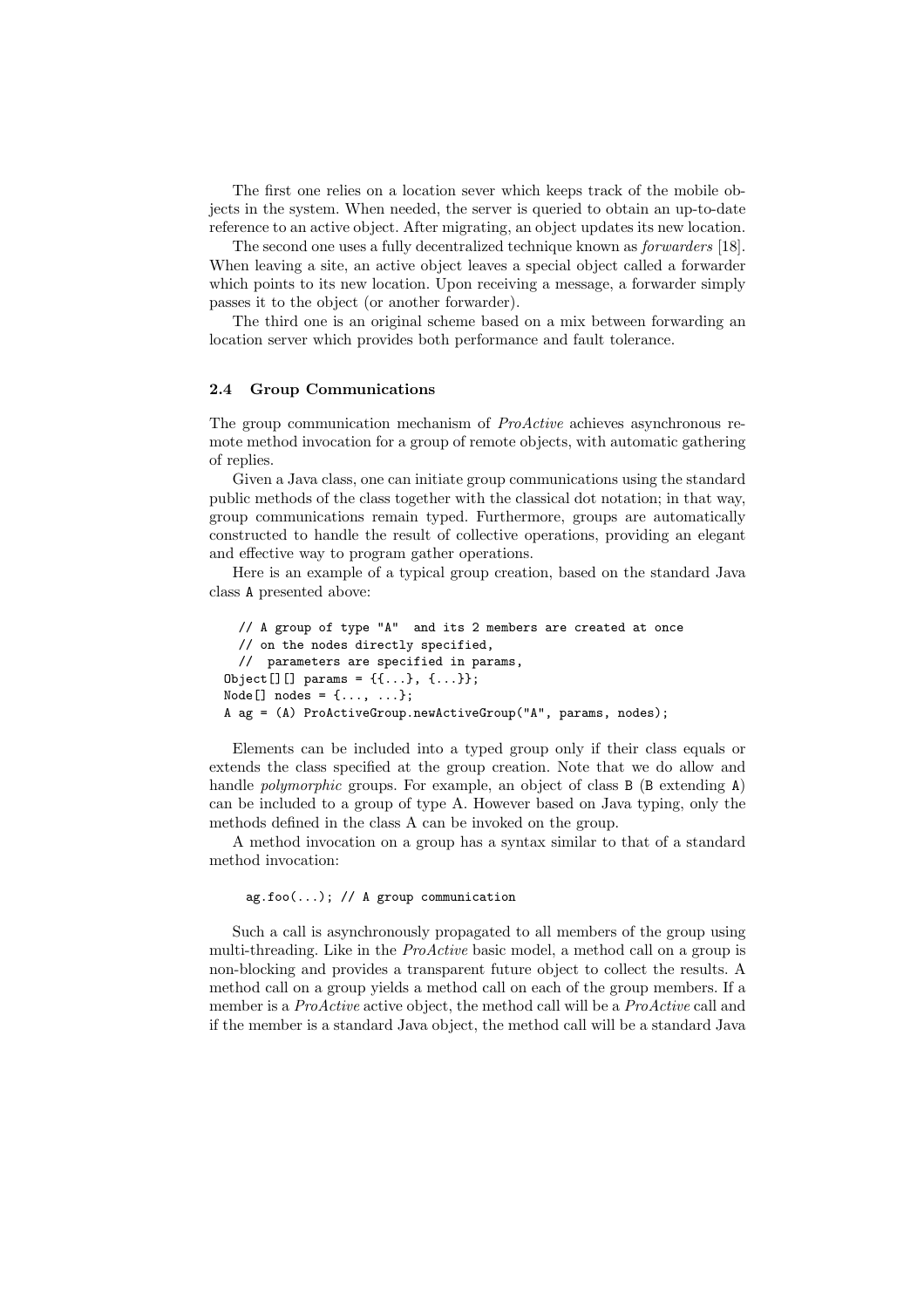The first one relies on a location sever which keeps track of the mobile objects in the system. When needed, the server is queried to obtain an up-to-date reference to an active object. After migrating, an object updates its new location.

The second one uses a fully decentralized technique known as forwarders [18]. When leaving a site, an active object leaves a special object called a forwarder which points to its new location. Upon receiving a message, a forwarder simply passes it to the object (or another forwarder).

The third one is an original scheme based on a mix between forwarding an location server which provides both performance and fault tolerance.

#### 2.4 Group Communications

The group communication mechanism of *ProActive* achieves asynchronous remote method invocation for a group of remote objects, with automatic gathering of replies.

Given a Java class, one can initiate group communications using the standard public methods of the class together with the classical dot notation; in that way, group communications remain typed. Furthermore, groups are automatically constructed to handle the result of collective operations, providing an elegant and effective way to program gather operations.

Here is an example of a typical group creation, based on the standard Java class A presented above:

```
// A group of type "A" and its 2 members are created at once
  // on the nodes directly specified,
  // parameters are specified in params,
Object [][] params = \{ \{ \ldots \} , \{ \ldots \} \};
Node[] nodes = {..., ...};A ag = (A) ProActiveGroup.newActiveGroup("A", params, nodes);
```
Elements can be included into a typed group only if their class equals or extends the class specified at the group creation. Note that we do allow and handle *polymorphic* groups. For example, an object of class **B** (**B** extending **A**) can be included to a group of type A. However based on Java typing, only the methods defined in the class A can be invoked on the group.

A method invocation on a group has a syntax similar to that of a standard method invocation:

#### ag.foo(...); // A group communication

Such a call is asynchronously propagated to all members of the group using multi-threading. Like in the *ProActive* basic model, a method call on a group is non-blocking and provides a transparent future object to collect the results. A method call on a group yields a method call on each of the group members. If a member is a *ProActive* active object, the method call will be a *ProActive* call and if the member is a standard Java object, the method call will be a standard Java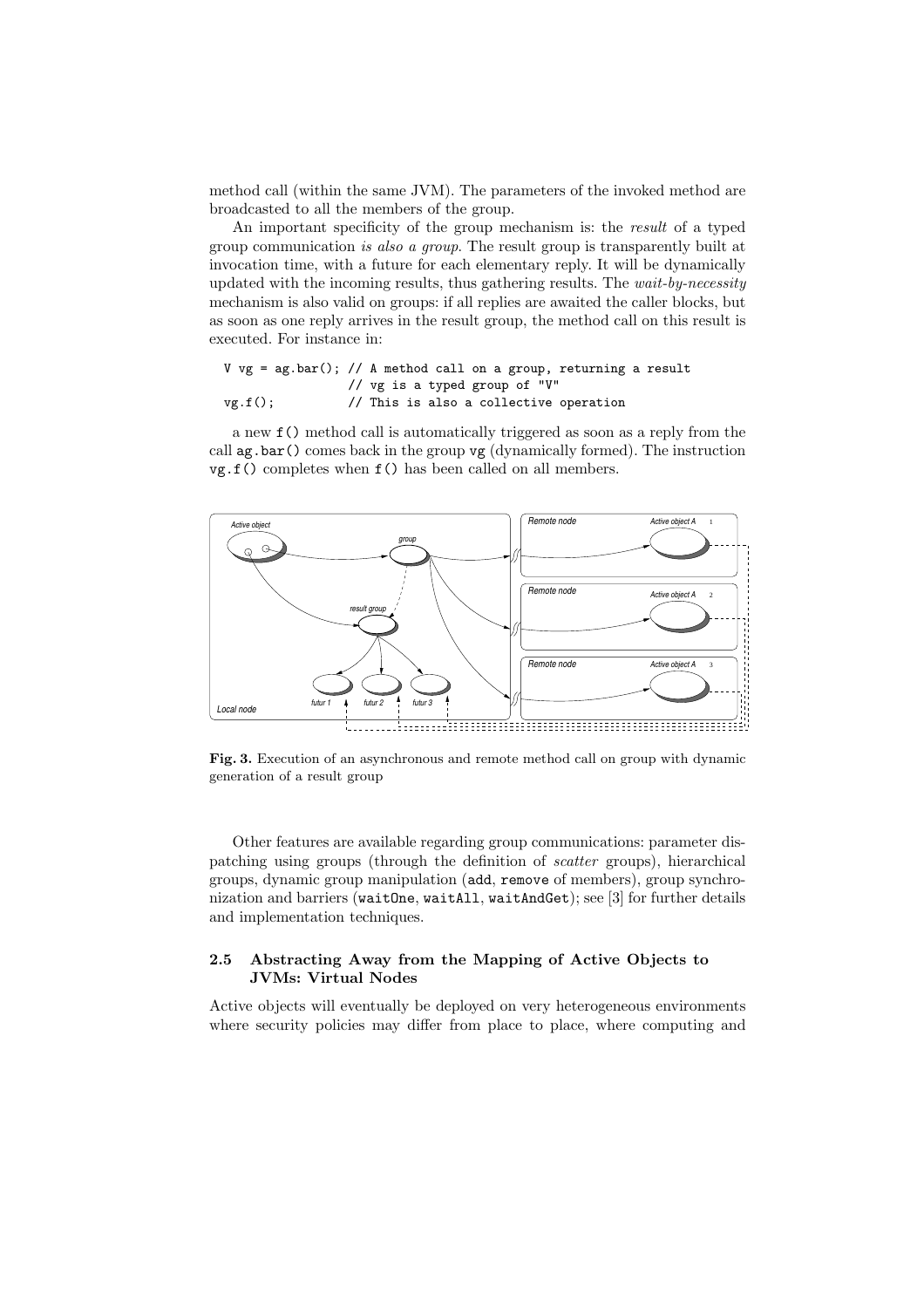method call (within the same JVM). The parameters of the invoked method are broadcasted to all the members of the group.

An important specificity of the group mechanism is: the *result* of a typed group communication is also a group. The result group is transparently built at invocation time, with a future for each elementary reply. It will be dynamically updated with the incoming results, thus gathering results. The wait-by-necessity mechanism is also valid on groups: if all replies are awaited the caller blocks, but as soon as one reply arrives in the result group, the method call on this result is executed. For instance in:

```
V vg = ag.bar(); // A method call on a group, returning a result
                // vg is a typed group of "V"
vg.f(); // This is also a collective operation
```
a new f() method call is automatically triggered as soon as a reply from the call ag.bar() comes back in the group vg (dynamically formed). The instruction vg.f() completes when f() has been called on all members.



Fig. 3. Execution of an asynchronous and remote method call on group with dynamic generation of a result group

Other features are available regarding group communications: parameter dispatching using groups (through the definition of scatter groups), hierarchical groups, dynamic group manipulation (add, remove of members), group synchronization and barriers (waitOne, waitAll, waitAndGet); see [3] for further details and implementation techniques.

# 2.5 Abstracting Away from the Mapping of Active Objects to JVMs: Virtual Nodes

Active objects will eventually be deployed on very heterogeneous environments where security policies may differ from place to place, where computing and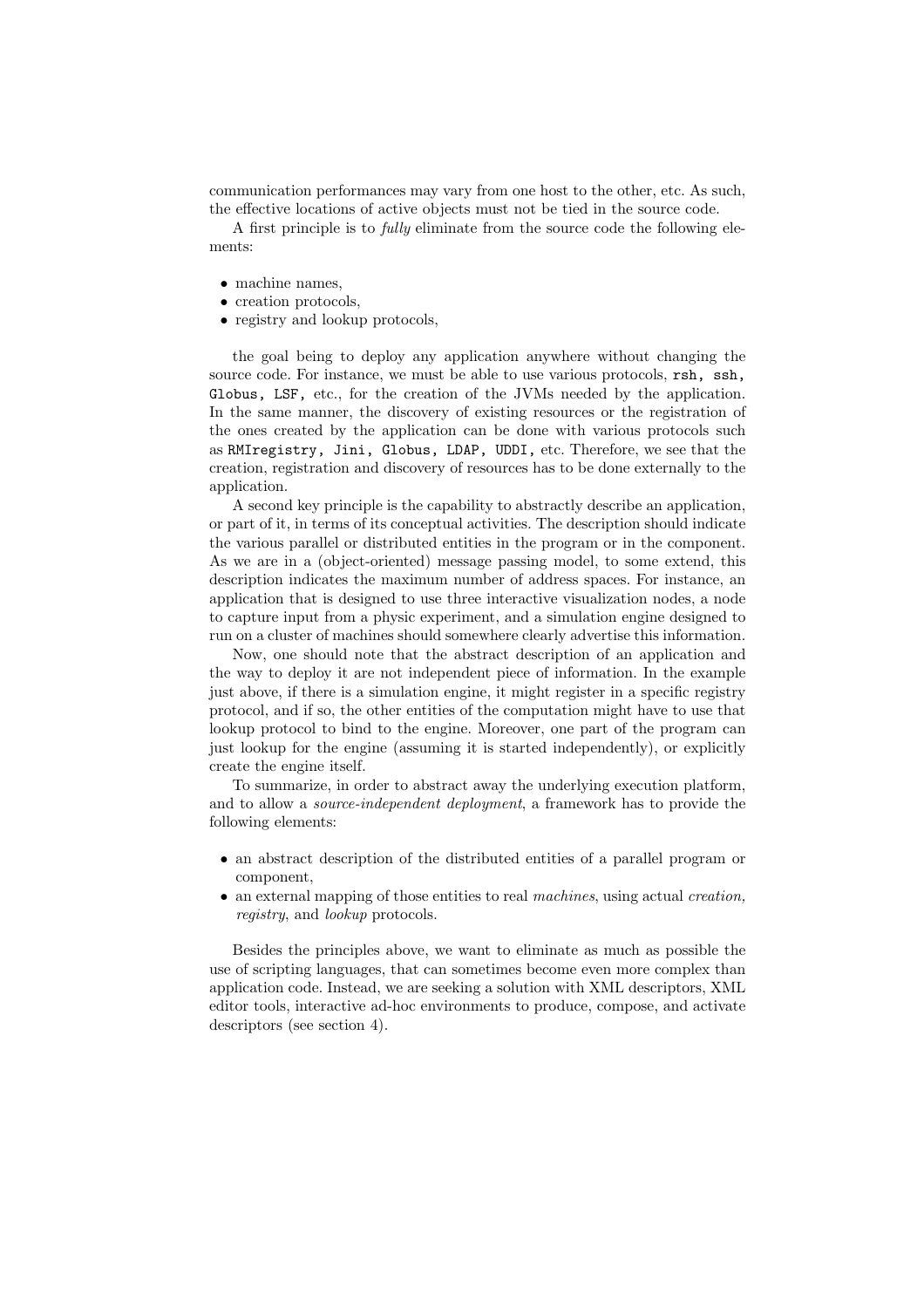communication performances may vary from one host to the other, etc. As such, the effective locations of active objects must not be tied in the source code.

A first principle is to fully eliminate from the source code the following elements:

- machine names.
- creation protocols,
- registry and lookup protocols,

the goal being to deploy any application anywhere without changing the source code. For instance, we must be able to use various protocols, rsh, ssh, Globus, LSF, etc., for the creation of the JVMs needed by the application. In the same manner, the discovery of existing resources or the registration of the ones created by the application can be done with various protocols such as RMIregistry, Jini, Globus, LDAP, UDDI, etc. Therefore, we see that the creation, registration and discovery of resources has to be done externally to the application.

A second key principle is the capability to abstractly describe an application, or part of it, in terms of its conceptual activities. The description should indicate the various parallel or distributed entities in the program or in the component. As we are in a (object-oriented) message passing model, to some extend, this description indicates the maximum number of address spaces. For instance, an application that is designed to use three interactive visualization nodes, a node to capture input from a physic experiment, and a simulation engine designed to run on a cluster of machines should somewhere clearly advertise this information.

Now, one should note that the abstract description of an application and the way to deploy it are not independent piece of information. In the example just above, if there is a simulation engine, it might register in a specific registry protocol, and if so, the other entities of the computation might have to use that lookup protocol to bind to the engine. Moreover, one part of the program can just lookup for the engine (assuming it is started independently), or explicitly create the engine itself.

To summarize, in order to abstract away the underlying execution platform, and to allow a source-independent deployment, a framework has to provide the following elements:

- an abstract description of the distributed entities of a parallel program or component,
- an external mapping of those entities to real machines, using actual creation, registry, and lookup protocols.

Besides the principles above, we want to eliminate as much as possible the use of scripting languages, that can sometimes become even more complex than application code. Instead, we are seeking a solution with XML descriptors, XML editor tools, interactive ad-hoc environments to produce, compose, and activate descriptors (see section 4).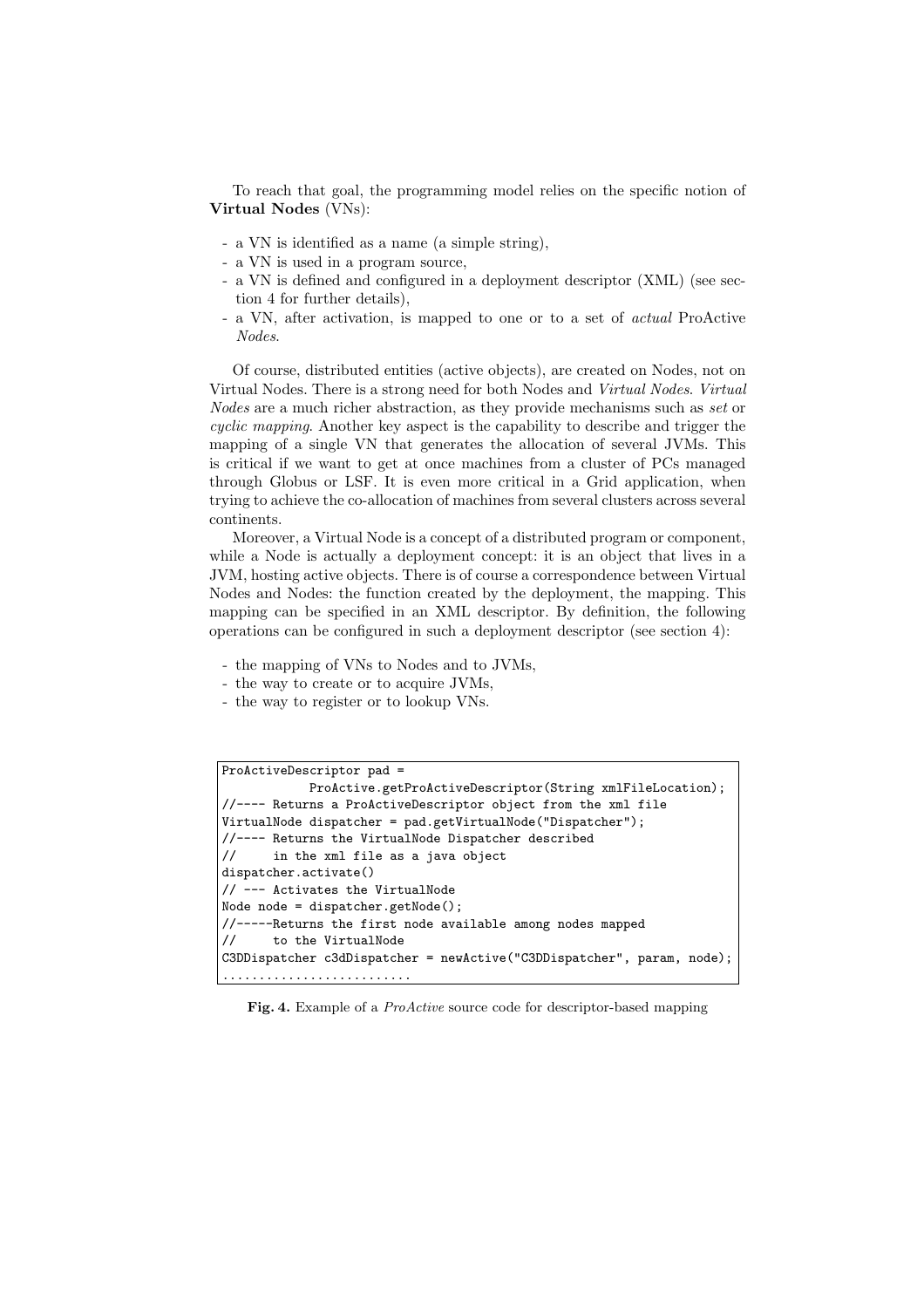To reach that goal, the programming model relies on the specific notion of Virtual Nodes (VNs):

- a VN is identified as a name (a simple string),
- a VN is used in a program source,
- a VN is defined and configured in a deployment descriptor (XML) (see section 4 for further details),
- a VN, after activation, is mapped to one or to a set of actual ProActive Nodes.

Of course, distributed entities (active objects), are created on Nodes, not on Virtual Nodes. There is a strong need for both Nodes and Virtual Nodes. Virtual Nodes are a much richer abstraction, as they provide mechanisms such as set or cyclic mapping. Another key aspect is the capability to describe and trigger the mapping of a single VN that generates the allocation of several JVMs. This is critical if we want to get at once machines from a cluster of PCs managed through Globus or LSF. It is even more critical in a Grid application, when trying to achieve the co-allocation of machines from several clusters across several continents.

Moreover, a Virtual Node is a concept of a distributed program or component, while a Node is actually a deployment concept: it is an object that lives in a JVM, hosting active objects. There is of course a correspondence between Virtual Nodes and Nodes: the function created by the deployment, the mapping. This mapping can be specified in an XML descriptor. By definition, the following operations can be configured in such a deployment descriptor (see section 4):

- the mapping of VNs to Nodes and to JVMs,
- the way to create or to acquire JVMs,
- the way to register or to lookup VNs.

```
ProActiveDescriptor pad =
            ProActive.getProActiveDescriptor(String xmlFileLocation);
//---- Returns a ProActiveDescriptor object from the xml file
VirtualNode dispatcher = pad.getVirtualNode("Dispatcher");
//---- Returns the VirtualNode Dispatcher described
// in the xml file as a java object
dispatcher.activate()
// --- Activates the VirtualNode
Node node = dispatcher.getNode();
//-----Returns the first node available among nodes mapped
// to the VirtualNode
C3DDispatcher c3dDispatcher = newActive("C3DDispatcher", param, node);
..........................
```
Fig. 4. Example of a *ProActive* source code for descriptor-based mapping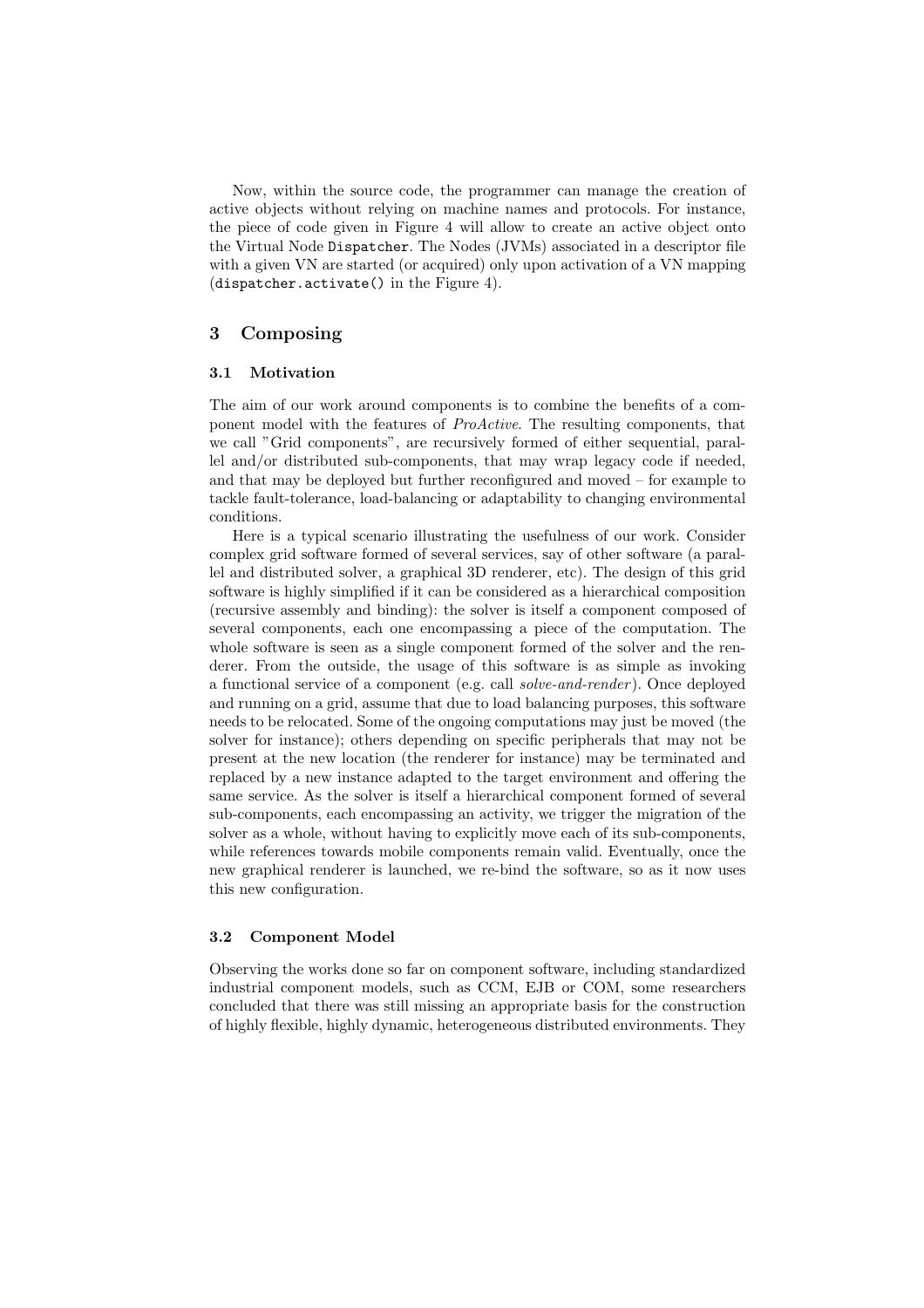Now, within the source code, the programmer can manage the creation of active objects without relying on machine names and protocols. For instance, the piece of code given in Figure 4 will allow to create an active object onto the Virtual Node Dispatcher. The Nodes (JVMs) associated in a descriptor file with a given VN are started (or acquired) only upon activation of a VN mapping (dispatcher.activate() in the Figure 4).

# 3 Composing

#### 3.1 Motivation

The aim of our work around components is to combine the benefits of a component model with the features of ProActive. The resulting components, that we call "Grid components", are recursively formed of either sequential, parallel and/or distributed sub-components, that may wrap legacy code if needed, and that may be deployed but further reconfigured and moved – for example to tackle fault-tolerance, load-balancing or adaptability to changing environmental conditions.

Here is a typical scenario illustrating the usefulness of our work. Consider complex grid software formed of several services, say of other software (a parallel and distributed solver, a graphical 3D renderer, etc). The design of this grid software is highly simplified if it can be considered as a hierarchical composition (recursive assembly and binding): the solver is itself a component composed of several components, each one encompassing a piece of the computation. The whole software is seen as a single component formed of the solver and the renderer. From the outside, the usage of this software is as simple as invoking a functional service of a component (e.g. call solve-and-render ). Once deployed and running on a grid, assume that due to load balancing purposes, this software needs to be relocated. Some of the ongoing computations may just be moved (the solver for instance); others depending on specific peripherals that may not be present at the new location (the renderer for instance) may be terminated and replaced by a new instance adapted to the target environment and offering the same service. As the solver is itself a hierarchical component formed of several sub-components, each encompassing an activity, we trigger the migration of the solver as a whole, without having to explicitly move each of its sub-components, while references towards mobile components remain valid. Eventually, once the new graphical renderer is launched, we re-bind the software, so as it now uses this new configuration.

#### 3.2 Component Model

Observing the works done so far on component software, including standardized industrial component models, such as CCM, EJB or COM, some researchers concluded that there was still missing an appropriate basis for the construction of highly flexible, highly dynamic, heterogeneous distributed environments. They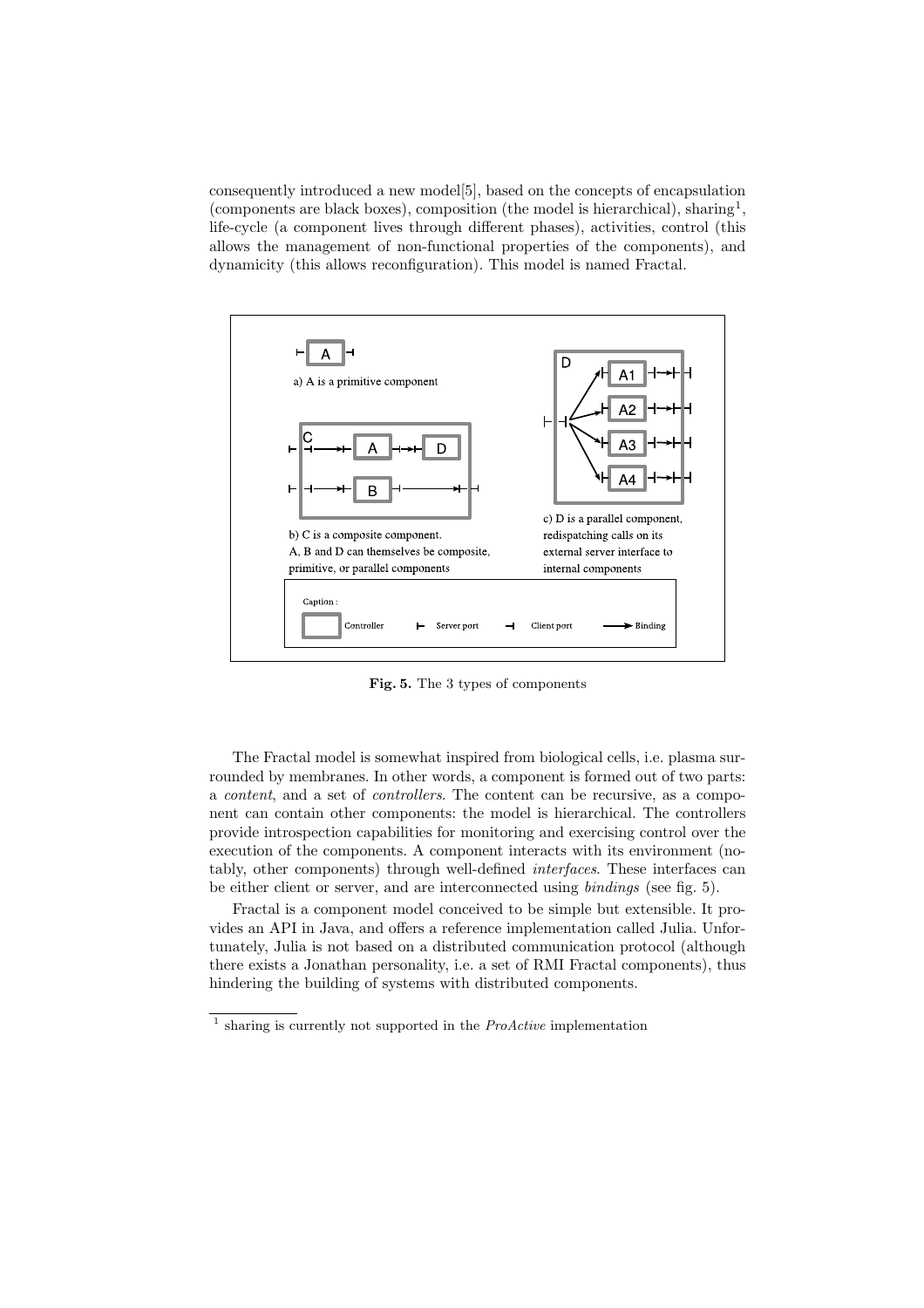consequently introduced a new model[5], based on the concepts of encapsulation (components are black boxes), composition (the model is hierarchical), sharing<sup>1</sup> , life-cycle (a component lives through different phases), activities, control (this allows the management of non-functional properties of the components), and dynamicity (this allows reconfiguration). This model is named Fractal.



Fig. 5. The 3 types of components

The Fractal model is somewhat inspired from biological cells, i.e. plasma surrounded by membranes. In other words, a component is formed out of two parts: a content, and a set of controllers. The content can be recursive, as a component can contain other components: the model is hierarchical. The controllers provide introspection capabilities for monitoring and exercising control over the execution of the components. A component interacts with its environment (notably, other components) through well-defined interfaces. These interfaces can be either client or server, and are interconnected using bindings (see fig. 5).

Fractal is a component model conceived to be simple but extensible. It provides an API in Java, and offers a reference implementation called Julia. Unfortunately, Julia is not based on a distributed communication protocol (although there exists a Jonathan personality, i.e. a set of RMI Fractal components), thus hindering the building of systems with distributed components.

 $1$  sharing is currently not supported in the  $ProActive$  implementation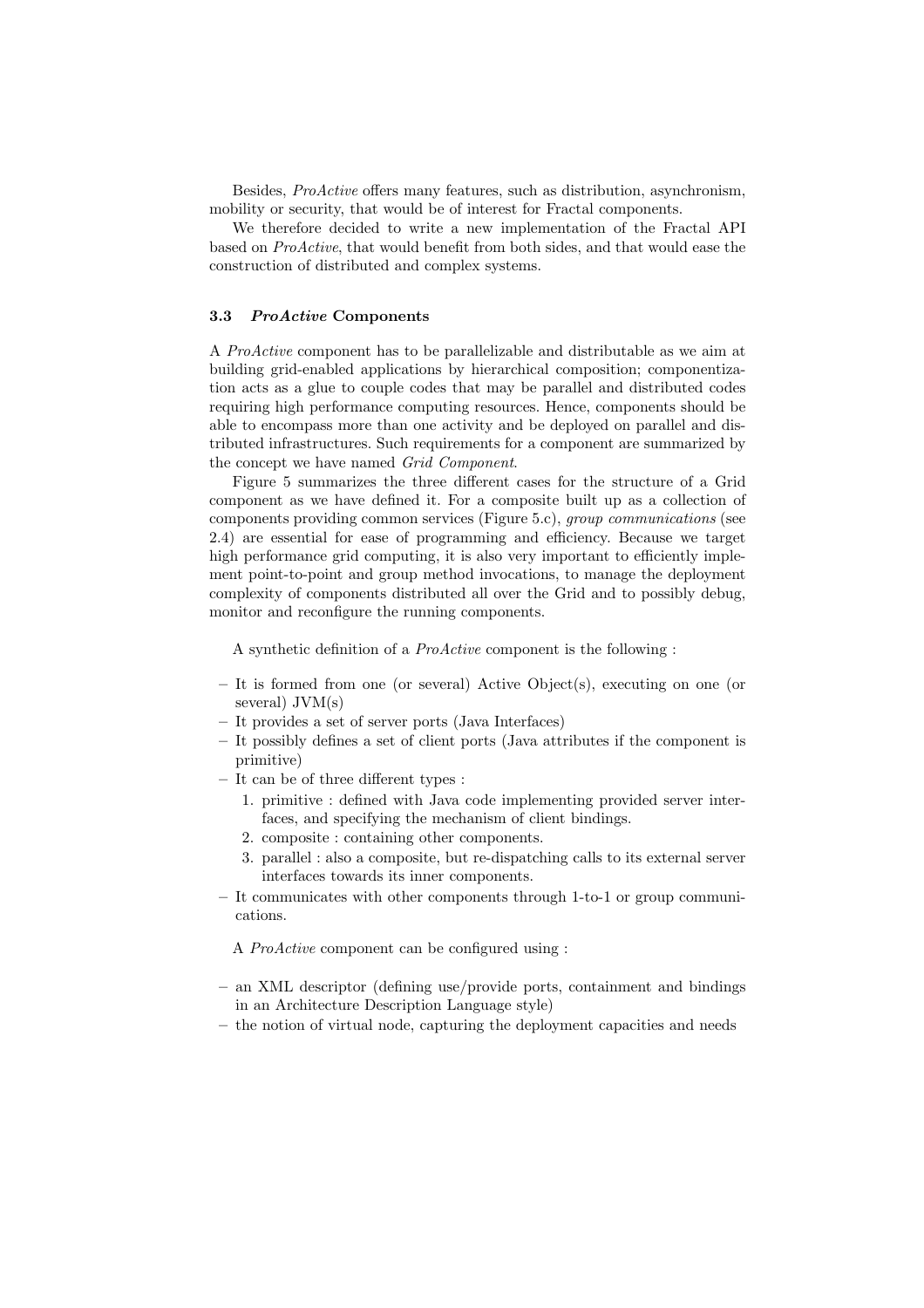Besides, ProActive offers many features, such as distribution, asynchronism, mobility or security, that would be of interest for Fractal components.

We therefore decided to write a new implementation of the Fractal API based on ProActive, that would benefit from both sides, and that would ease the construction of distributed and complex systems.

#### 3.3 ProActive Components

A ProActive component has to be parallelizable and distributable as we aim at building grid-enabled applications by hierarchical composition; componentization acts as a glue to couple codes that may be parallel and distributed codes requiring high performance computing resources. Hence, components should be able to encompass more than one activity and be deployed on parallel and distributed infrastructures. Such requirements for a component are summarized by the concept we have named Grid Component.

Figure 5 summarizes the three different cases for the structure of a Grid component as we have defined it. For a composite built up as a collection of components providing common services (Figure 5.c), group communications (see 2.4) are essential for ease of programming and efficiency. Because we target high performance grid computing, it is also very important to efficiently implement point-to-point and group method invocations, to manage the deployment complexity of components distributed all over the Grid and to possibly debug, monitor and reconfigure the running components.

A synthetic definition of a ProActive component is the following :

- It is formed from one (or several) Active Object(s), executing on one (or several) JVM(s)
- It provides a set of server ports (Java Interfaces)
- It possibly defines a set of client ports (Java attributes if the component is primitive)
- It can be of three different types :
	- 1. primitive : defined with Java code implementing provided server interfaces, and specifying the mechanism of client bindings.
	- 2. composite : containing other components.
	- 3. parallel : also a composite, but re-dispatching calls to its external server interfaces towards its inner components.
- It communicates with other components through 1-to-1 or group communications.

A ProActive component can be configured using :

- an XML descriptor (defining use/provide ports, containment and bindings in an Architecture Description Language style)
- the notion of virtual node, capturing the deployment capacities and needs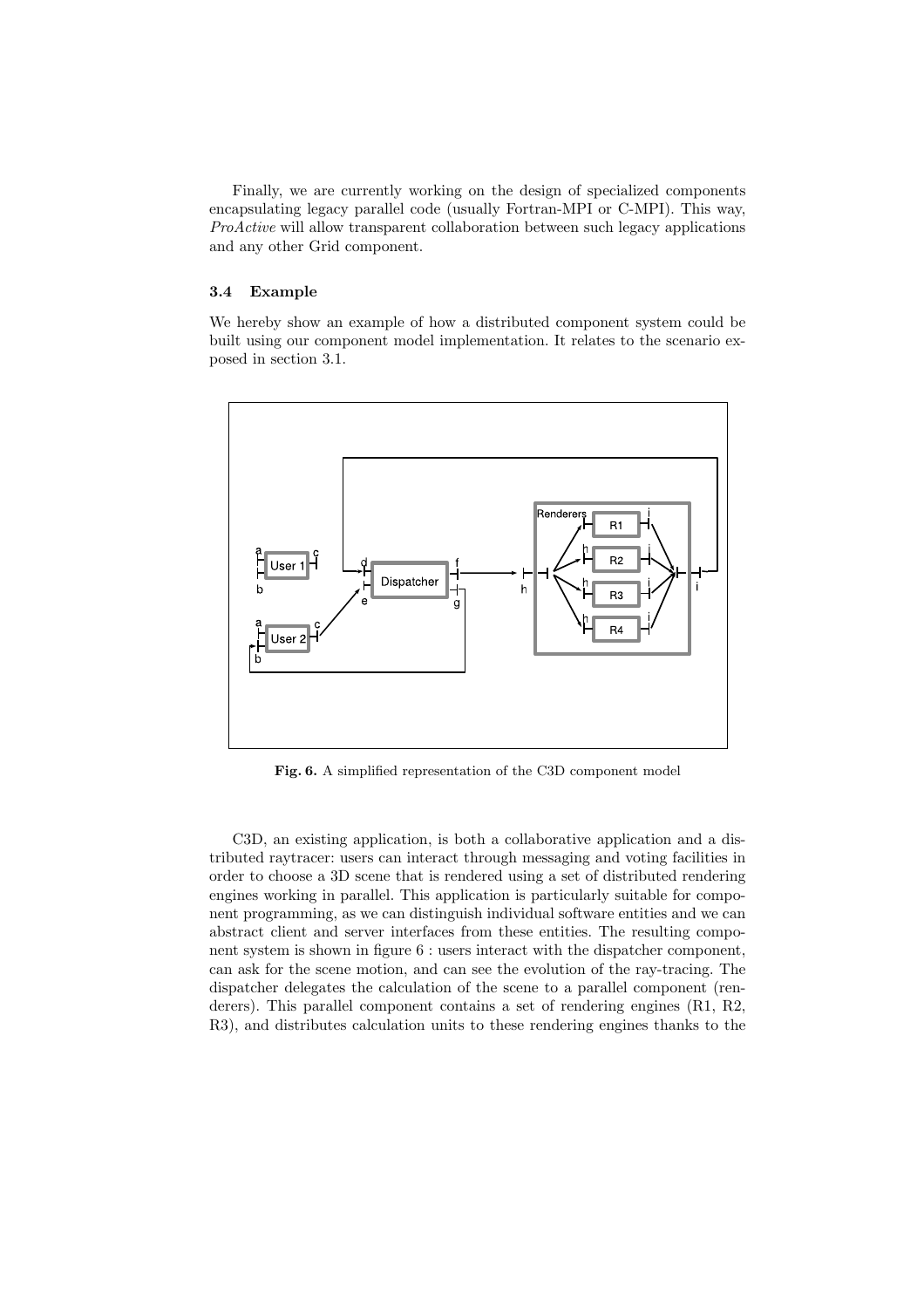Finally, we are currently working on the design of specialized components encapsulating legacy parallel code (usually Fortran-MPI or C-MPI). This way, ProActive will allow transparent collaboration between such legacy applications and any other Grid component.

#### 3.4 Example

We hereby show an example of how a distributed component system could be built using our component model implementation. It relates to the scenario exposed in section 3.1.



Fig. 6. A simplified representation of the C3D component model

C3D, an existing application, is both a collaborative application and a distributed raytracer: users can interact through messaging and voting facilities in order to choose a 3D scene that is rendered using a set of distributed rendering engines working in parallel. This application is particularly suitable for component programming, as we can distinguish individual software entities and we can abstract client and server interfaces from these entities. The resulting component system is shown in figure 6 : users interact with the dispatcher component, can ask for the scene motion, and can see the evolution of the ray-tracing. The dispatcher delegates the calculation of the scene to a parallel component (renderers). This parallel component contains a set of rendering engines (R1, R2, R3), and distributes calculation units to these rendering engines thanks to the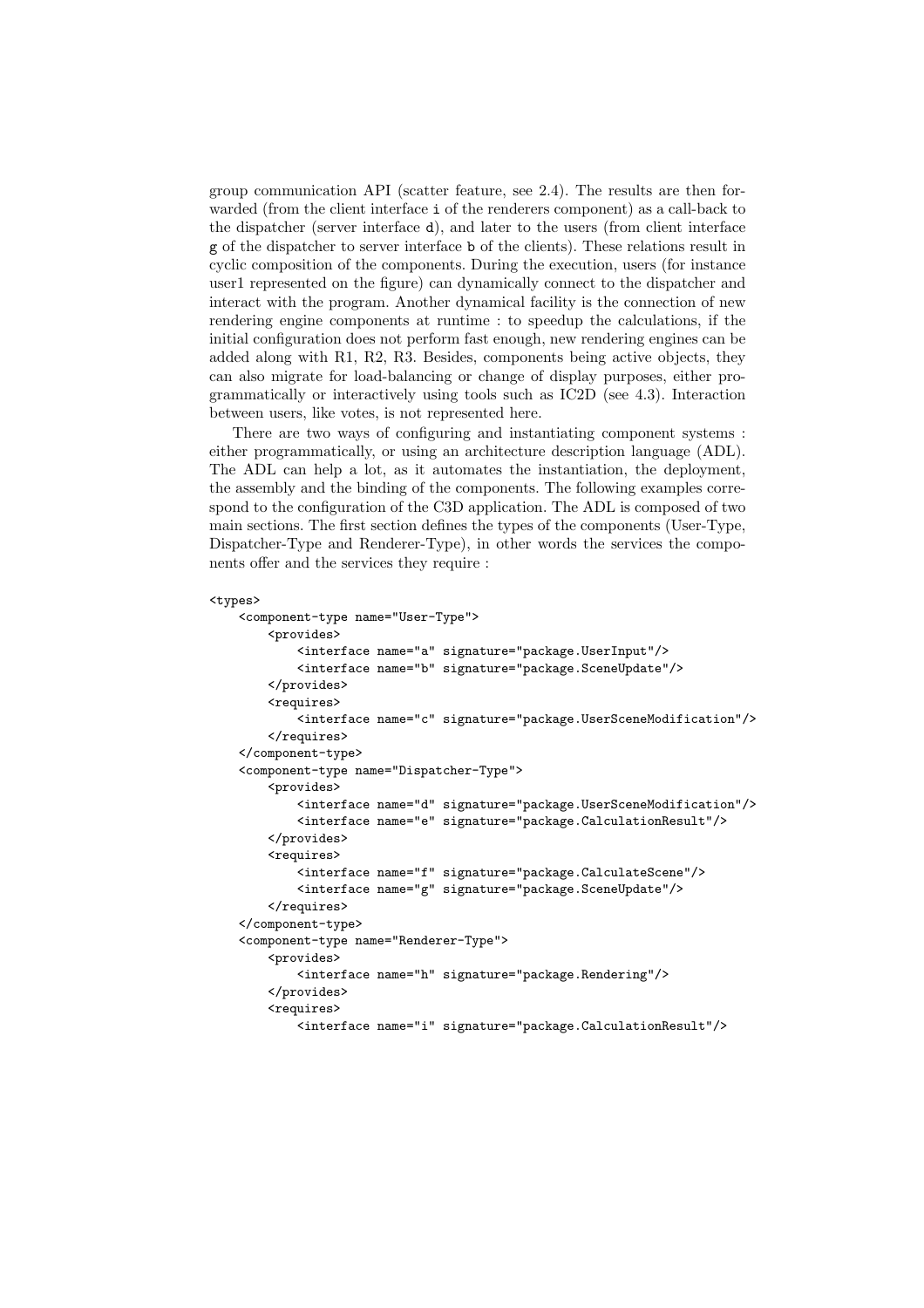group communication API (scatter feature, see 2.4). The results are then forwarded (from the client interface i of the renderers component) as a call-back to the dispatcher (server interface d), and later to the users (from client interface g of the dispatcher to server interface b of the clients). These relations result in cyclic composition of the components. During the execution, users (for instance user1 represented on the figure) can dynamically connect to the dispatcher and interact with the program. Another dynamical facility is the connection of new rendering engine components at runtime : to speedup the calculations, if the initial configuration does not perform fast enough, new rendering engines can be added along with R1, R2, R3. Besides, components being active objects, they can also migrate for load-balancing or change of display purposes, either programmatically or interactively using tools such as IC2D (see 4.3). Interaction between users, like votes, is not represented here.

There are two ways of configuring and instantiating component systems : either programmatically, or using an architecture description language (ADL). The ADL can help a lot, as it automates the instantiation, the deployment, the assembly and the binding of the components. The following examples correspond to the configuration of the C3D application. The ADL is composed of two main sections. The first section defines the types of the components (User-Type, Dispatcher-Type and Renderer-Type), in other words the services the components offer and the services they require :

#### <types>

```
<component-type name="User-Type">
    <provides>
        <interface name="a" signature="package.UserInput"/>
        <interface name="b" signature="package.SceneUpdate"/>
    </provides>
    <requires>
        <interface name="c" signature="package.UserSceneModification"/>
    </requires>
</component-type>
<component-type name="Dispatcher-Type">
    <provides>
        <interface name="d" signature="package.UserSceneModification"/>
        <interface name="e" signature="package.CalculationResult"/>
    </provides>
    <requires>
        <interface name="f" signature="package.CalculateScene"/>
        <interface name="g" signature="package.SceneUpdate"/>
    </requires>
</component-type>
<component-type name="Renderer-Type">
    <provides>
        <interface name="h" signature="package.Rendering"/>
    </provides>
    <requires>
        <interface name="i" signature="package.CalculationResult"/>
```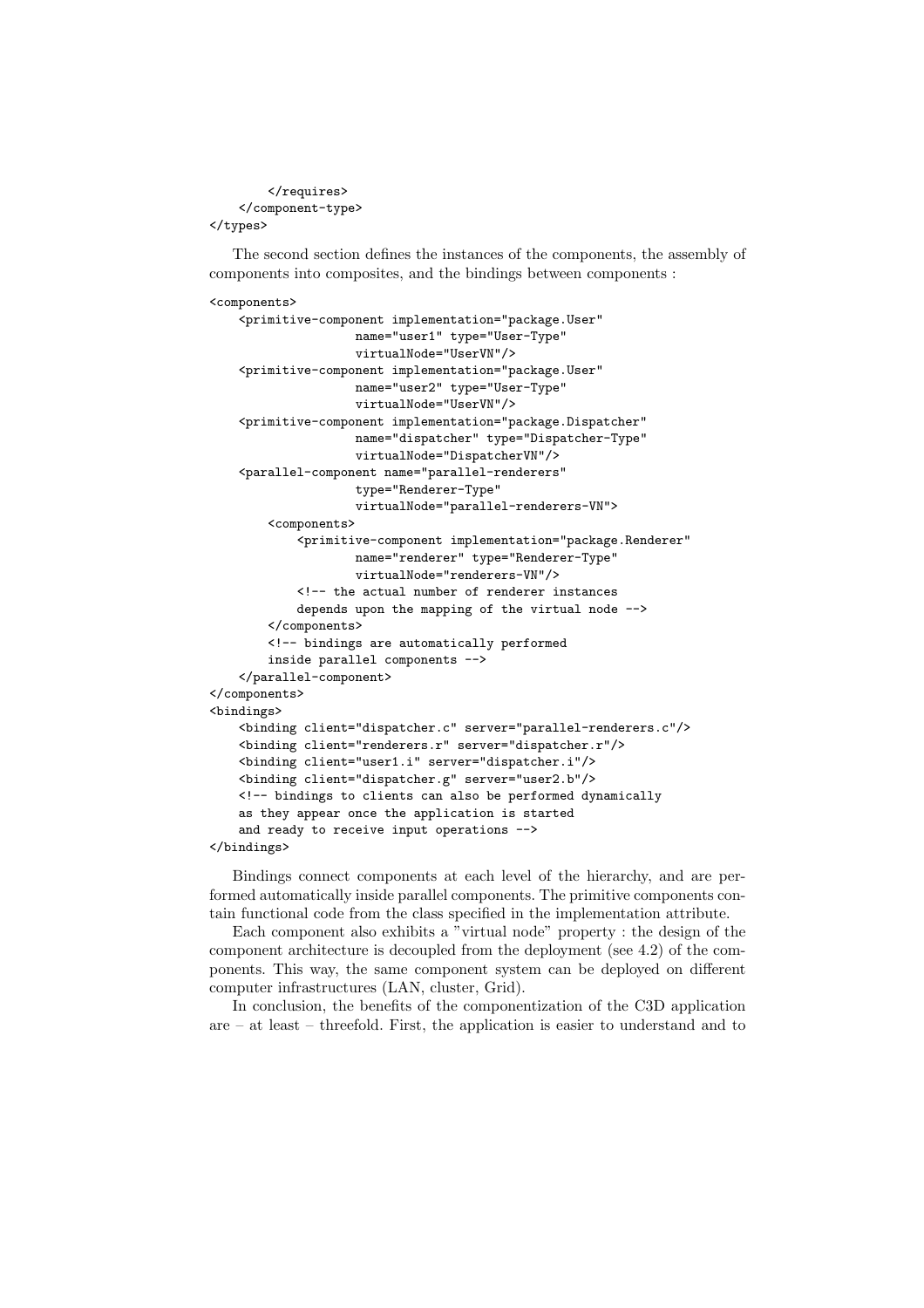#### </requires> </component-type> </types>

The second section defines the instances of the components, the assembly of components into composites, and the bindings between components :

```
<components>
```

```
<primitive-component implementation="package.User"
                   name="user1" type="User-Type"
                   virtualNode="UserVN"/>
   <primitive-component implementation="package.User"
                   name="user2" type="User-Type"
                    virtualNode="UserVN"/>
   <primitive-component implementation="package.Dispatcher"
                   name="dispatcher" type="Dispatcher-Type"
                    virtualNode="DispatcherVN"/>
   <parallel-component name="parallel-renderers"
                    type="Renderer-Type"
                    virtualNode="parallel-renderers-VN">
        <components>
            <primitive-component implementation="package.Renderer"
                    name="renderer" type="Renderer-Type"
                    virtualNode="renderers-VN"/>
            <!-- the actual number of renderer instances
            depends upon the mapping of the virtual node -->
        </components>
       <!-- bindings are automatically performed
       inside parallel components -->
   </parallel-component>
</components>
<bindings>
   <binding client="dispatcher.c" server="parallel-renderers.c"/>
   <binding client="renderers.r" server="dispatcher.r"/>
   <binding client="user1.i" server="dispatcher.i"/>
   <binding client="dispatcher.g" server="user2.b"/>
   <!-- bindings to clients can also be performed dynamically
   as they appear once the application is started
   and ready to receive input operations -->
</bindings>
```
Bindings connect components at each level of the hierarchy, and are performed automatically inside parallel components. The primitive components contain functional code from the class specified in the implementation attribute.

Each component also exhibits a "virtual node" property : the design of the component architecture is decoupled from the deployment (see 4.2) of the components. This way, the same component system can be deployed on different computer infrastructures (LAN, cluster, Grid).

In conclusion, the benefits of the componentization of the C3D application are – at least – threefold. First, the application is easier to understand and to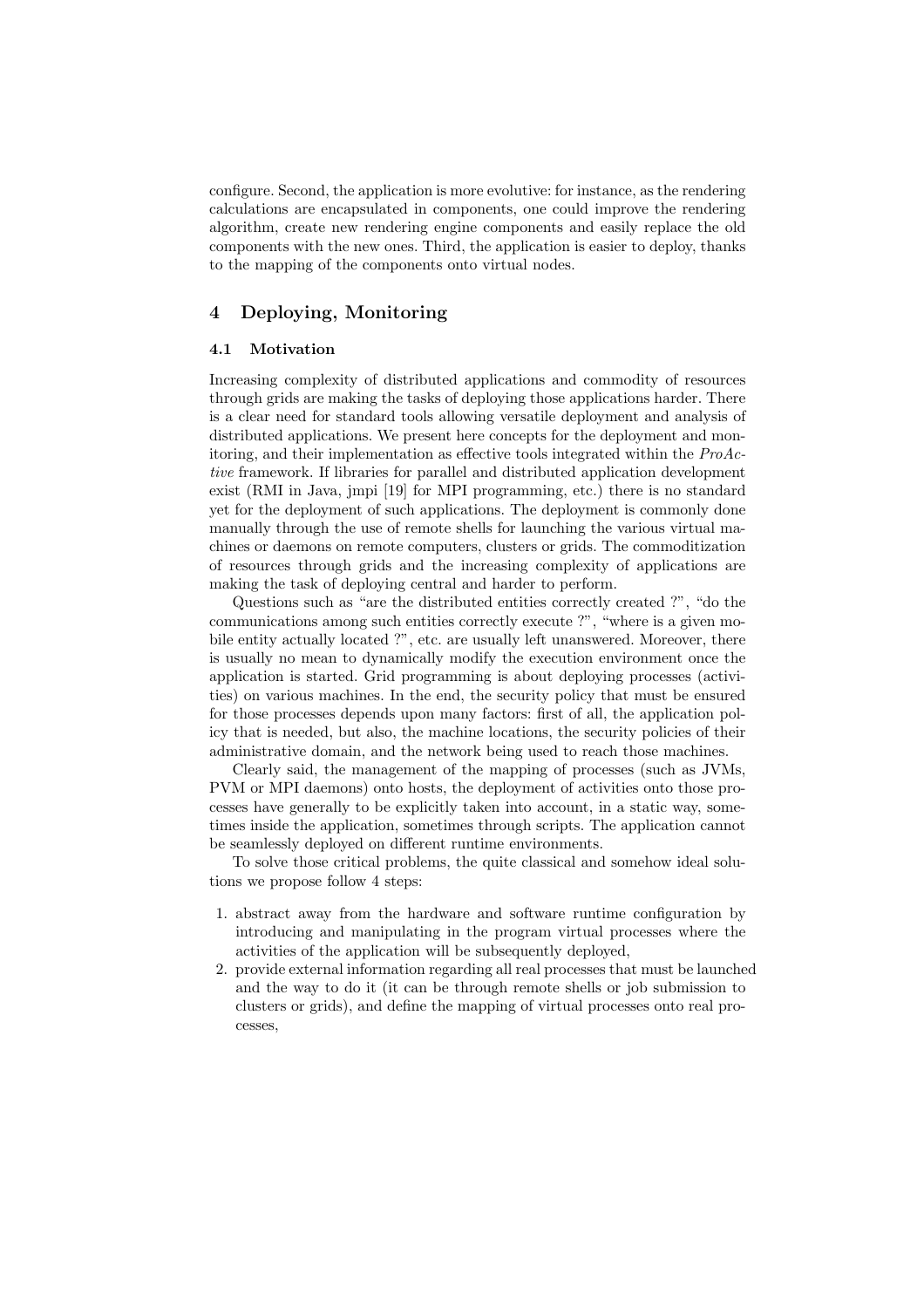configure. Second, the application is more evolutive: for instance, as the rendering calculations are encapsulated in components, one could improve the rendering algorithm, create new rendering engine components and easily replace the old components with the new ones. Third, the application is easier to deploy, thanks to the mapping of the components onto virtual nodes.

# 4 Deploying, Monitoring

# 4.1 Motivation

Increasing complexity of distributed applications and commodity of resources through grids are making the tasks of deploying those applications harder. There is a clear need for standard tools allowing versatile deployment and analysis of distributed applications. We present here concepts for the deployment and monitoring, and their implementation as effective tools integrated within the  $ProAc$ tive framework. If libraries for parallel and distributed application development exist (RMI in Java, jmpi [19] for MPI programming, etc.) there is no standard yet for the deployment of such applications. The deployment is commonly done manually through the use of remote shells for launching the various virtual machines or daemons on remote computers, clusters or grids. The commoditization of resources through grids and the increasing complexity of applications are making the task of deploying central and harder to perform.

Questions such as "are the distributed entities correctly created ?", "do the communications among such entities correctly execute ?", "where is a given mobile entity actually located ?", etc. are usually left unanswered. Moreover, there is usually no mean to dynamically modify the execution environment once the application is started. Grid programming is about deploying processes (activities) on various machines. In the end, the security policy that must be ensured for those processes depends upon many factors: first of all, the application policy that is needed, but also, the machine locations, the security policies of their administrative domain, and the network being used to reach those machines.

Clearly said, the management of the mapping of processes (such as JVMs, PVM or MPI daemons) onto hosts, the deployment of activities onto those processes have generally to be explicitly taken into account, in a static way, sometimes inside the application, sometimes through scripts. The application cannot be seamlessly deployed on different runtime environments.

To solve those critical problems, the quite classical and somehow ideal solutions we propose follow 4 steps:

- 1. abstract away from the hardware and software runtime configuration by introducing and manipulating in the program virtual processes where the activities of the application will be subsequently deployed,
- 2. provide external information regarding all real processes that must be launched and the way to do it (it can be through remote shells or job submission to clusters or grids), and define the mapping of virtual processes onto real processes,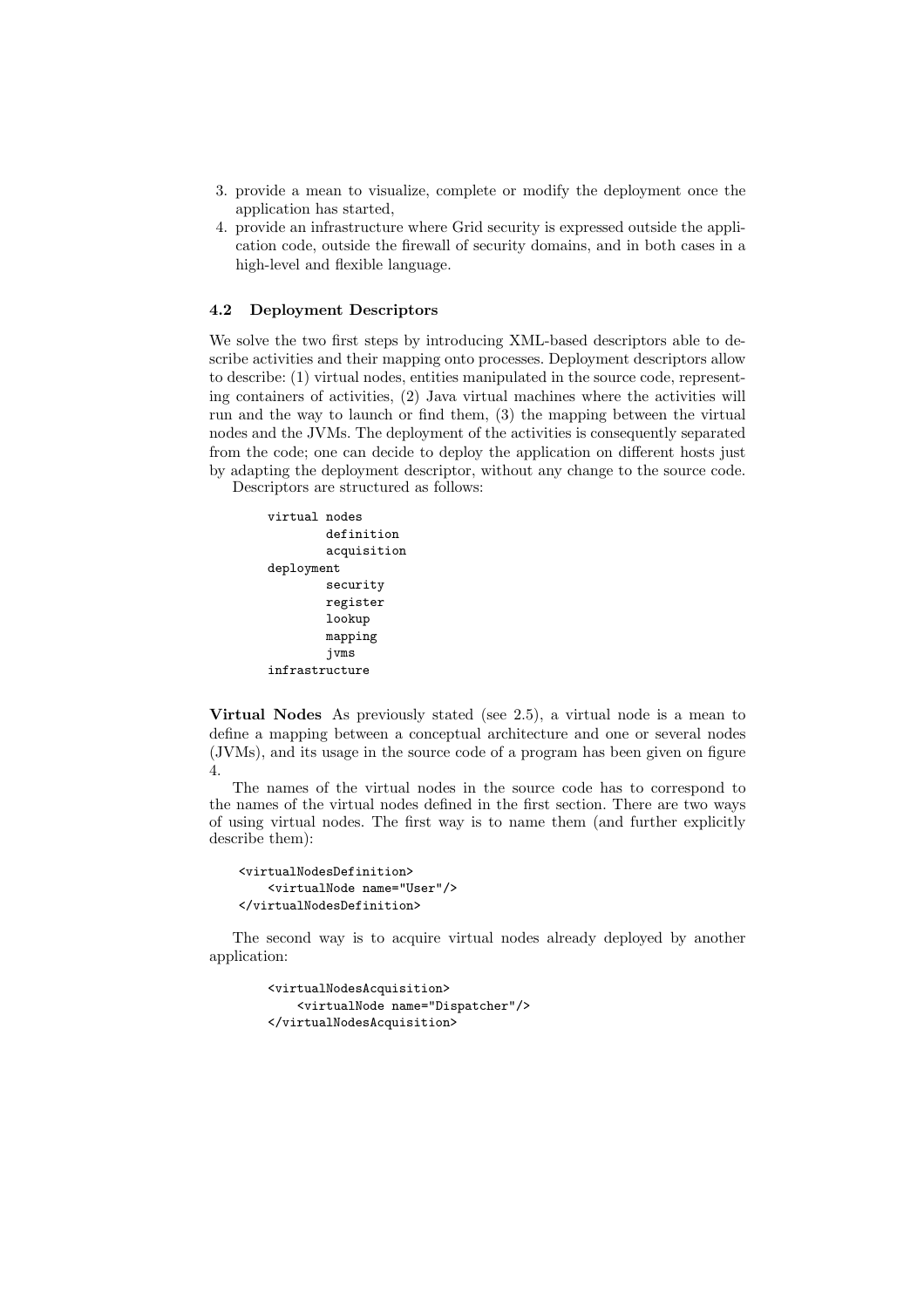- 3. provide a mean to visualize, complete or modify the deployment once the application has started,
- 4. provide an infrastructure where Grid security is expressed outside the application code, outside the firewall of security domains, and in both cases in a high-level and flexible language.

#### 4.2 Deployment Descriptors

We solve the two first steps by introducing XML-based descriptors able to describe activities and their mapping onto processes. Deployment descriptors allow to describe: (1) virtual nodes, entities manipulated in the source code, representing containers of activities, (2) Java virtual machines where the activities will run and the way to launch or find them, (3) the mapping between the virtual nodes and the JVMs. The deployment of the activities is consequently separated from the code; one can decide to deploy the application on different hosts just by adapting the deployment descriptor, without any change to the source code. Descriptors are structured as follows:

```
virtual nodes
        definition
        acquisition
deployment
        security
        register
        lookup
        mapping
```
jvms infrastructure

Virtual Nodes As previously stated (see 2.5), a virtual node is a mean to define a mapping between a conceptual architecture and one or several nodes (JVMs), and its usage in the source code of a program has been given on figure

4.

The names of the virtual nodes in the source code has to correspond to the names of the virtual nodes defined in the first section. There are two ways of using virtual nodes. The first way is to name them (and further explicitly describe them):

```
<virtualNodesDefinition>
    <virtualNode name="User"/>
</virtualNodesDefinition>
```
The second way is to acquire virtual nodes already deployed by another application:

```
<virtualNodesAcquisition>
   <virtualNode name="Dispatcher"/>
</virtualNodesAcquisition>
```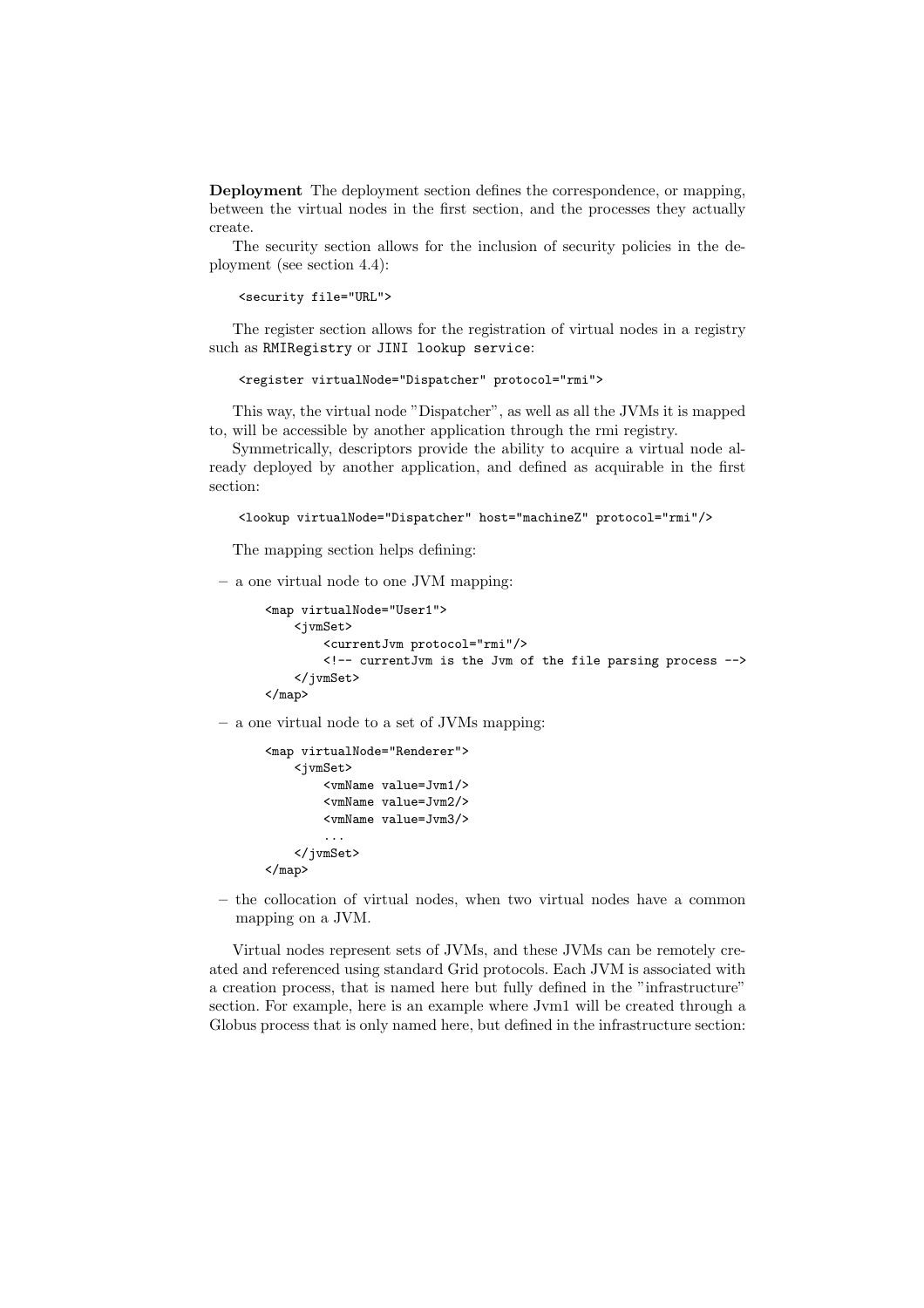Deployment The deployment section defines the correspondence, or mapping, between the virtual nodes in the first section, and the processes they actually create.

The security section allows for the inclusion of security policies in the deployment (see section 4.4):

<security file="URL">

The register section allows for the registration of virtual nodes in a registry such as RMIRegistry or JINI lookup service:

```
<register virtualNode="Dispatcher" protocol="rmi">
```
This way, the virtual node "Dispatcher", as well as all the JVMs it is mapped to, will be accessible by another application through the rmi registry.

Symmetrically, descriptors provide the ability to acquire a virtual node already deployed by another application, and defined as acquirable in the first section:

<lookup virtualNode="Dispatcher" host="machineZ" protocol="rmi"/>

The mapping section helps defining:

– a one virtual node to one JVM mapping:

```
<map virtualNode="User1">
    <jvmSet>
        <currentJvm protocol="rmi"/>
        <!-- currentJvm is the Jvm of the file parsing process -->
    </jvmSet>
</map>
```
– a one virtual node to a set of JVMs mapping:

```
<map virtualNode="Renderer">
    <jvmSet>
        <vmName value=Jvm1/>
        <vmName value=Jvm2/>
        <vmName value=Jvm3/>
        ...
    </jvmSet>
</map>
```
– the collocation of virtual nodes, when two virtual nodes have a common mapping on a JVM.

Virtual nodes represent sets of JVMs, and these JVMs can be remotely created and referenced using standard Grid protocols. Each JVM is associated with a creation process, that is named here but fully defined in the "infrastructure" section. For example, here is an example where Jvm1 will be created through a Globus process that is only named here, but defined in the infrastructure section: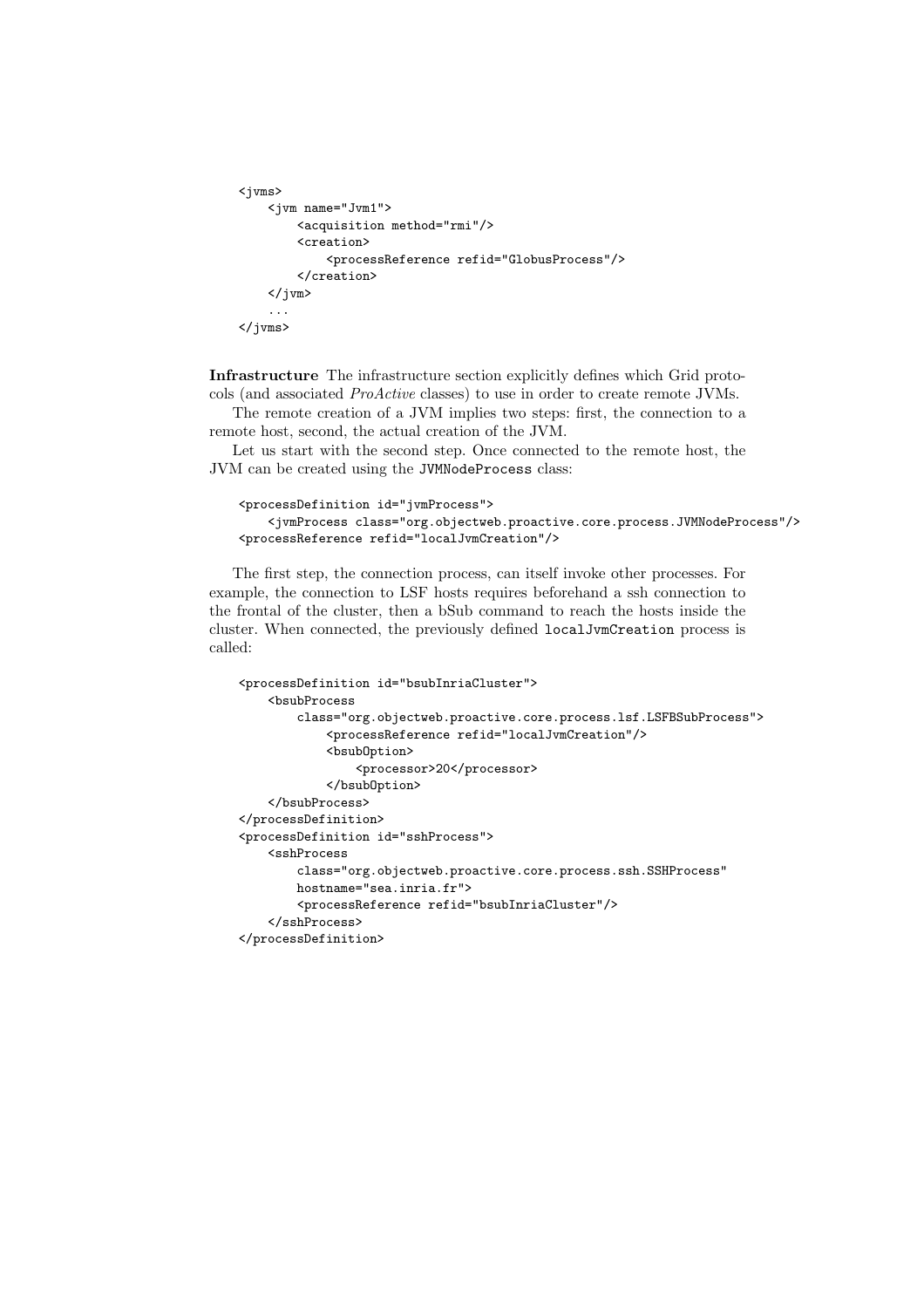```
<jvms>
    <jvm name="Jvm1">
        <acquisition method="rmi"/>
        <creation>
            <processReference refid="GlobusProcess"/>
        </creation>
    </jvm>
    ...
</jvms>
```
Infrastructure The infrastructure section explicitly defines which Grid protocols (and associated ProActive classes) to use in order to create remote JVMs.

The remote creation of a JVM implies two steps: first, the connection to a remote host, second, the actual creation of the JVM.

Let us start with the second step. Once connected to the remote host, the JVM can be created using the JVMNodeProcess class:

```
<processDefinition id="jvmProcess">
    <jvmProcess class="org.objectweb.proactive.core.process.JVMNodeProcess"/>
<processReference refid="localJvmCreation"/>
```
The first step, the connection process, can itself invoke other processes. For example, the connection to LSF hosts requires beforehand a ssh connection to the frontal of the cluster, then a bSub command to reach the hosts inside the cluster. When connected, the previously defined localJvmCreation process is called:

```
<processDefinition id="bsubInriaCluster">
    <bsubProcess
       class="org.objectweb.proactive.core.process.lsf.LSFBSubProcess">
            <processReference refid="localJvmCreation"/>
            <bsubOption>
                <processor>20</processor>
            </bsubOption>
    </bsubProcess>
</processDefinition>
<processDefinition id="sshProcess">
    <sshProcess
        class="org.objectweb.proactive.core.process.ssh.SSHProcess"
       hostname="sea.inria.fr">
        <processReference refid="bsubInriaCluster"/>
    </sshProcess>
</processDefinition>
```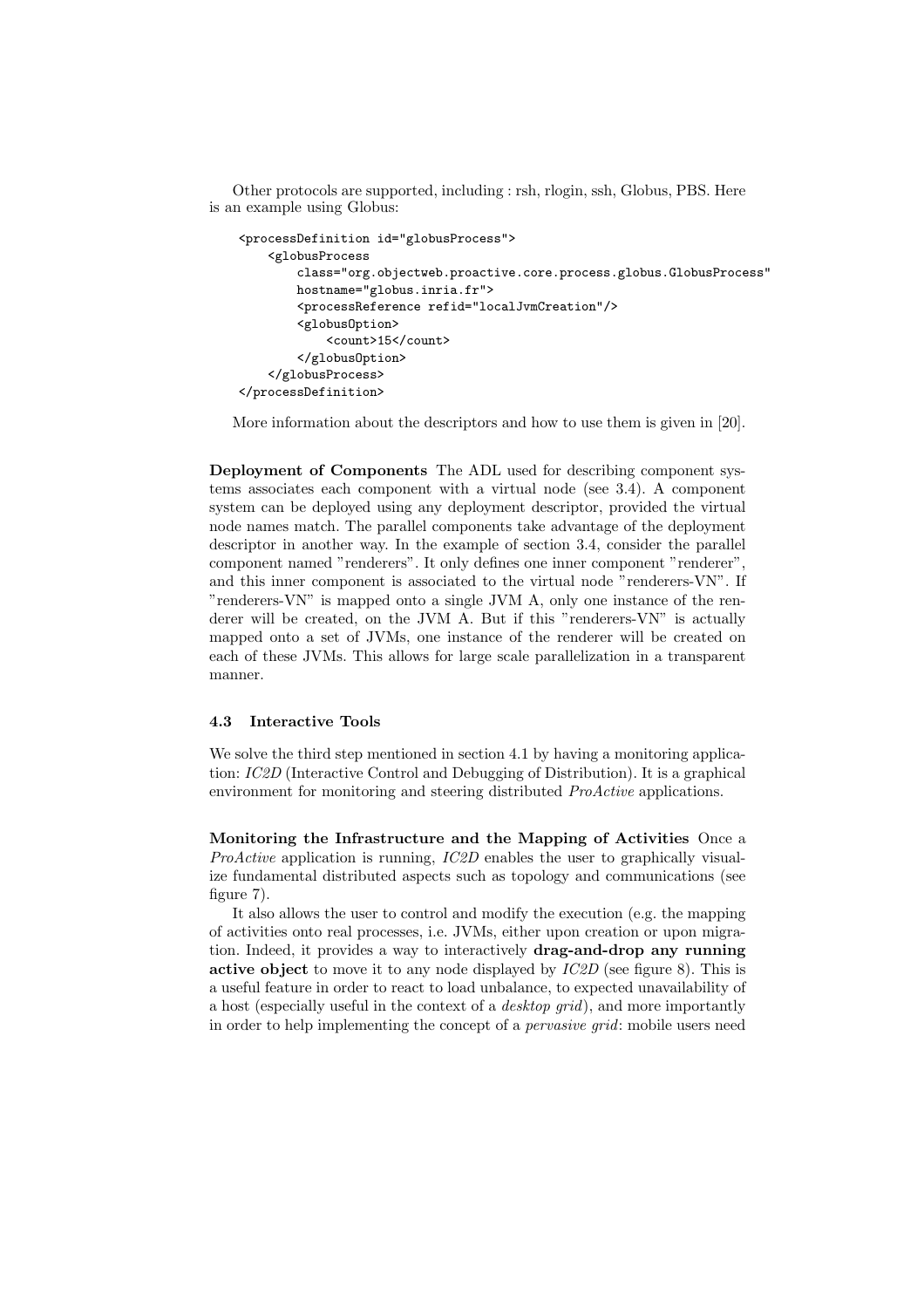Other protocols are supported, including : rsh, rlogin, ssh, Globus, PBS. Here is an example using Globus:

```
<processDefinition id="globusProcess">
    <globusProcess
        class="org.objectweb.proactive.core.process.globus.GlobusProcess"
        hostname="globus.inria.fr">
        <processReference refid="localJvmCreation"/>
        <globusOption>
            <count>15</count>
        </globusOption>
    </globusProcess>
</processDefinition>
```
More information about the descriptors and how to use them is given in [20].

Deployment of Components The ADL used for describing component systems associates each component with a virtual node (see 3.4). A component system can be deployed using any deployment descriptor, provided the virtual node names match. The parallel components take advantage of the deployment descriptor in another way. In the example of section 3.4, consider the parallel component named "renderers". It only defines one inner component "renderer", and this inner component is associated to the virtual node "renderers-VN". If "renderers-VN" is mapped onto a single JVM A, only one instance of the renderer will be created, on the JVM A. But if this "renderers-VN" is actually mapped onto a set of JVMs, one instance of the renderer will be created on each of these JVMs. This allows for large scale parallelization in a transparent manner.

#### 4.3 Interactive Tools

We solve the third step mentioned in section 4.1 by having a monitoring application: IC2D (Interactive Control and Debugging of Distribution). It is a graphical environment for monitoring and steering distributed *ProActive* applications.

Monitoring the Infrastructure and the Mapping of Activities Once a ProActive application is running, IC2D enables the user to graphically visualize fundamental distributed aspects such as topology and communications (see figure 7).

It also allows the user to control and modify the execution (e.g. the mapping of activities onto real processes, i.e. JVMs, either upon creation or upon migration. Indeed, it provides a way to interactively drag-and-drop any running active object to move it to any node displayed by  $IC2D$  (see figure 8). This is a useful feature in order to react to load unbalance, to expected unavailability of a host (especially useful in the context of a desktop grid), and more importantly in order to help implementing the concept of a pervasive grid: mobile users need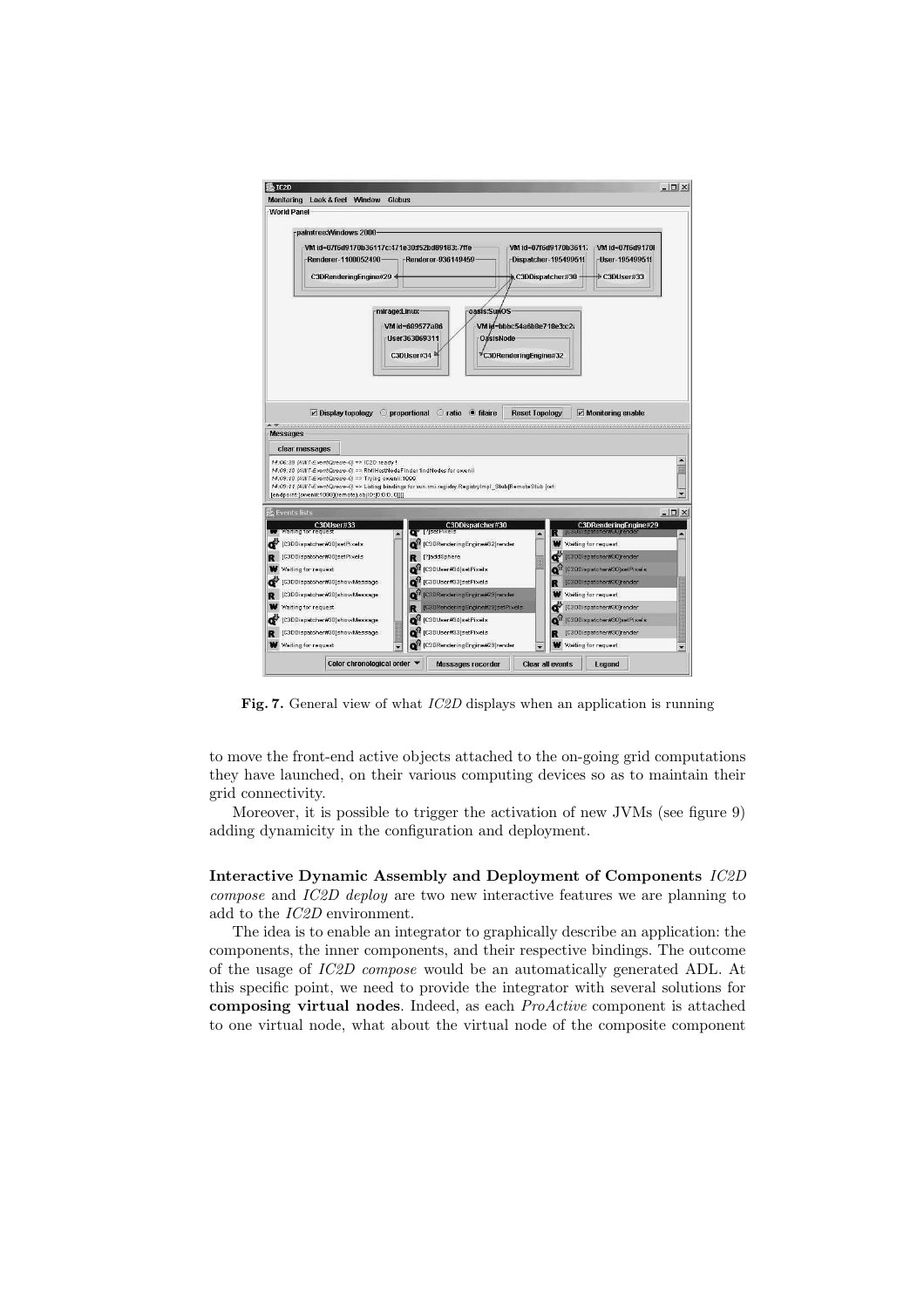

Fig. 7. General view of what  $IC2D$  displays when an application is running

to move the front-end active objects attached to the on-going grid computations they have launched, on their various computing devices so as to maintain their grid connectivity.

Moreover, it is possible to trigger the activation of new JVMs (see figure 9) adding dynamicity in the configuration and deployment.

Interactive Dynamic Assembly and Deployment of Components IC2D compose and IC2D deploy are two new interactive features we are planning to add to the IC2D environment.

The idea is to enable an integrator to graphically describe an application: the components, the inner components, and their respective bindings. The outcome of the usage of IC2D compose would be an automatically generated ADL. At this specific point, we need to provide the integrator with several solutions for composing virtual nodes. Indeed, as each *ProActive* component is attached to one virtual node, what about the virtual node of the composite component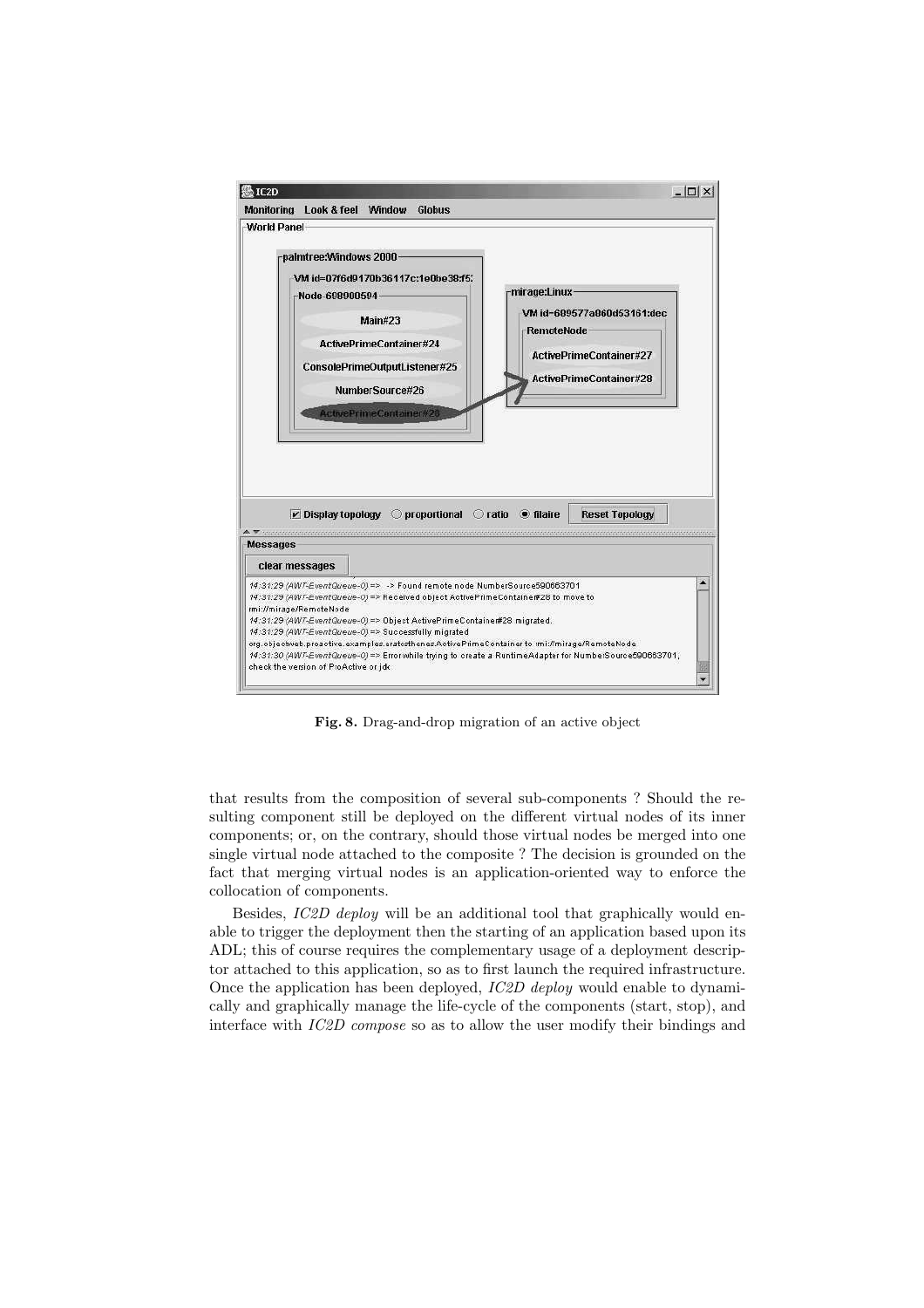

Fig. 8. Drag-and-drop migration of an active object

that results from the composition of several sub-components ? Should the resulting component still be deployed on the different virtual nodes of its inner components; or, on the contrary, should those virtual nodes be merged into one single virtual node attached to the composite ? The decision is grounded on the fact that merging virtual nodes is an application-oriented way to enforce the collocation of components.

Besides, IC2D deploy will be an additional tool that graphically would enable to trigger the deployment then the starting of an application based upon its ADL; this of course requires the complementary usage of a deployment descriptor attached to this application, so as to first launch the required infrastructure. Once the application has been deployed, IC2D deploy would enable to dynamically and graphically manage the life-cycle of the components (start, stop), and interface with IC2D compose so as to allow the user modify their bindings and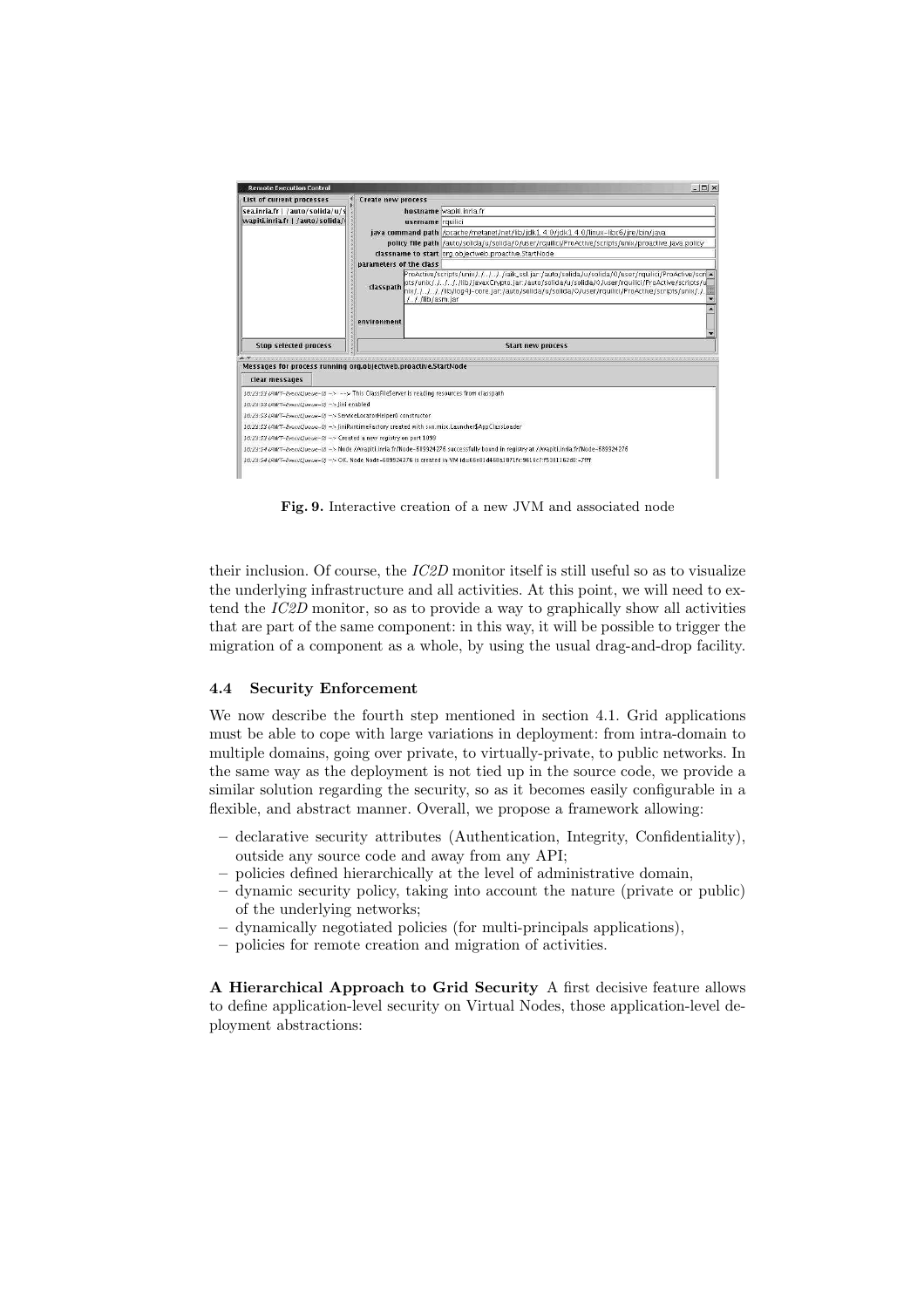

Fig. 9. Interactive creation of a new JVM and associated node

their inclusion. Of course, the  $IC2D$  monitor itself is still useful so as to visualize the underlying infrastructure and all activities. At this point, we will need to extend the IC2D monitor, so as to provide a way to graphically show all activities that are part of the same component: in this way, it will be possible to trigger the migration of a component as a whole, by using the usual drag-and-drop facility.

#### 4.4 Security Enforcement

We now describe the fourth step mentioned in section 4.1. Grid applications must be able to cope with large variations in deployment: from intra-domain to multiple domains, going over private, to virtually-private, to public networks. In the same way as the deployment is not tied up in the source code, we provide a similar solution regarding the security, so as it becomes easily configurable in a flexible, and abstract manner. Overall, we propose a framework allowing:

- declarative security attributes (Authentication, Integrity, Confidentiality), outside any source code and away from any API;
- policies defined hierarchically at the level of administrative domain,
- dynamic security policy, taking into account the nature (private or public) of the underlying networks;
- dynamically negotiated policies (for multi-principals applications),
- policies for remote creation and migration of activities.

A Hierarchical Approach to Grid Security A first decisive feature allows to define application-level security on Virtual Nodes, those application-level deployment abstractions: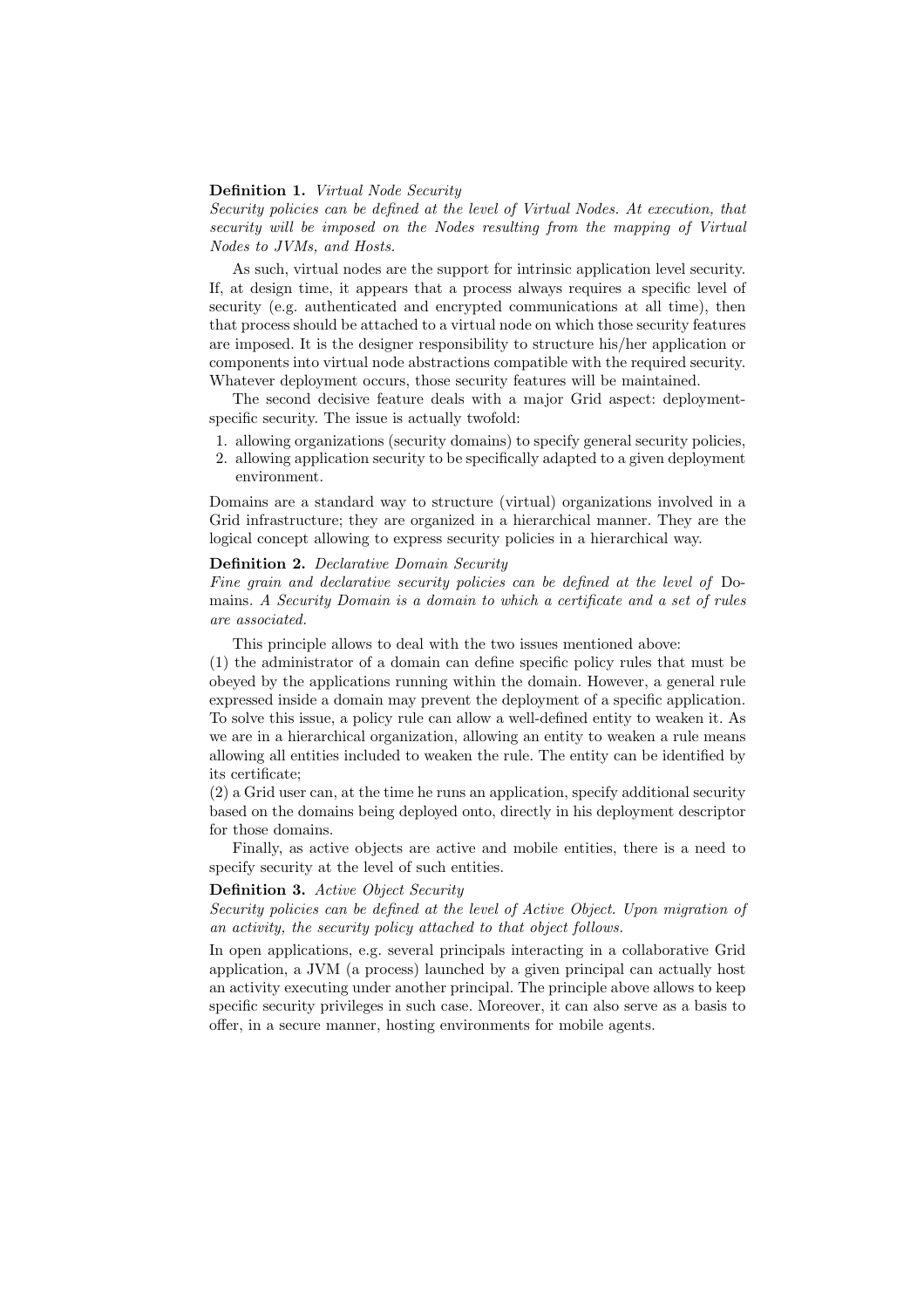#### Definition 1. Virtual Node Security

Security policies can be defined at the level of Virtual Nodes. At execution, that security will be imposed on the Nodes resulting from the mapping of Virtual Nodes to JVMs, and Hosts.

As such, virtual nodes are the support for intrinsic application level security. If, at design time, it appears that a process always requires a specific level of security (e.g. authenticated and encrypted communications at all time), then that process should be attached to a virtual node on which those security features are imposed. It is the designer responsibility to structure his/her application or components into virtual node abstractions compatible with the required security. Whatever deployment occurs, those security features will be maintained.

The second decisive feature deals with a major Grid aspect: deploymentspecific security. The issue is actually twofold:

- 1. allowing organizations (security domains) to specify general security policies,
- 2. allowing application security to be specifically adapted to a given deployment environment.

Domains are a standard way to structure (virtual) organizations involved in a Grid infrastructure; they are organized in a hierarchical manner. They are the logical concept allowing to express security policies in a hierarchical way.

#### Definition 2. Declarative Domain Security

Fine grain and declarative security policies can be defined at the level of Domains. A Security Domain is a domain to which a certificate and a set of rules are associated.

This principle allows to deal with the two issues mentioned above:

(1) the administrator of a domain can define specific policy rules that must be obeyed by the applications running within the domain. However, a general rule expressed inside a domain may prevent the deployment of a specific application. To solve this issue, a policy rule can allow a well-defined entity to weaken it. As we are in a hierarchical organization, allowing an entity to weaken a rule means allowing all entities included to weaken the rule. The entity can be identified by its certificate;

(2) a Grid user can, at the time he runs an application, specify additional security based on the domains being deployed onto, directly in his deployment descriptor for those domains.

Finally, as active objects are active and mobile entities, there is a need to specify security at the level of such entities.

# Definition 3. Active Object Security

Security policies can be defined at the level of Active Object. Upon migration of an activity, the security policy attached to that object follows.

In open applications, e.g. several principals interacting in a collaborative Grid application, a JVM (a process) launched by a given principal can actually host an activity executing under another principal. The principle above allows to keep specific security privileges in such case. Moreover, it can also serve as a basis to offer, in a secure manner, hosting environments for mobile agents.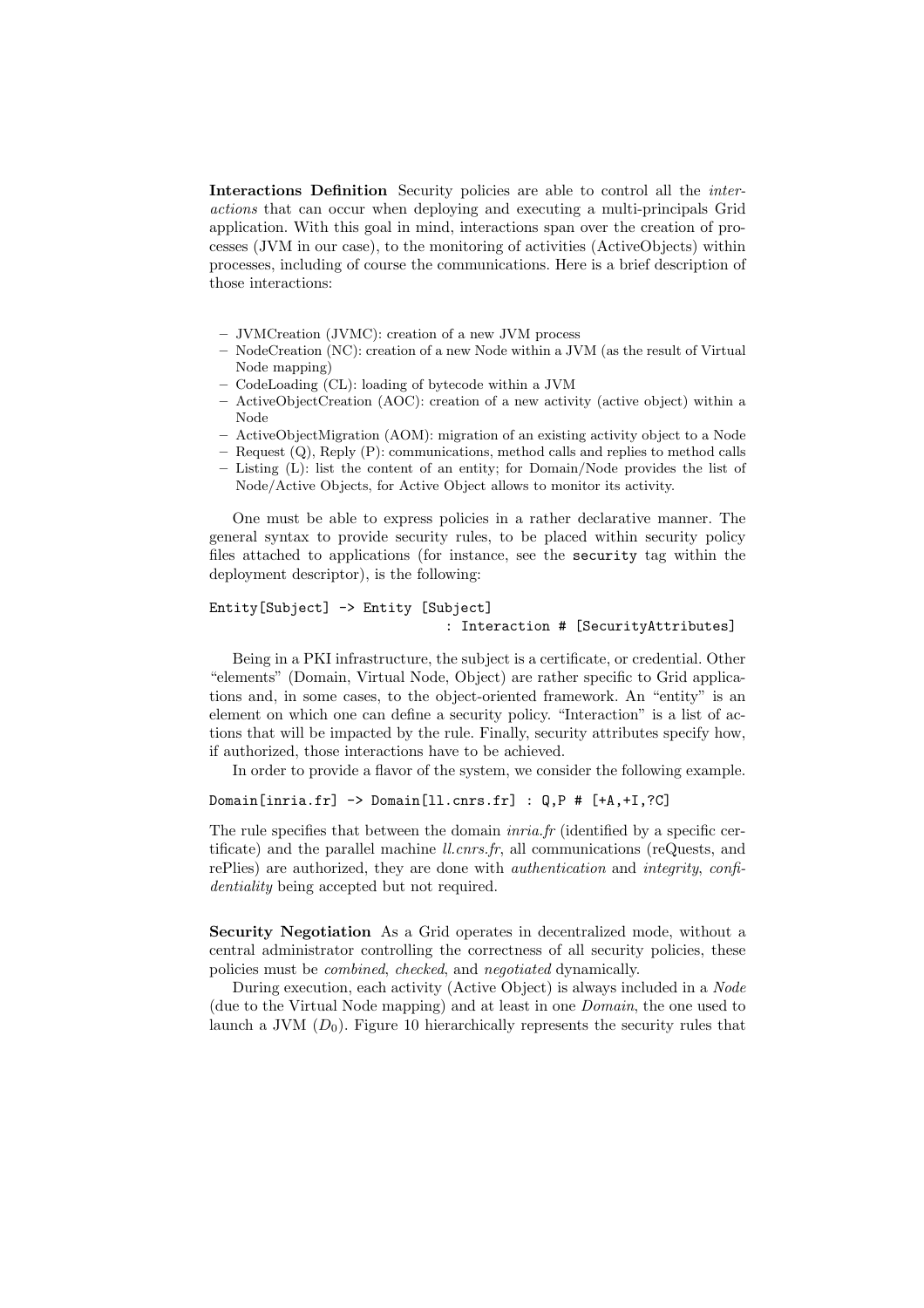Interactions Definition Security policies are able to control all the *inter*actions that can occur when deploying and executing a multi-principals Grid application. With this goal in mind, interactions span over the creation of processes (JVM in our case), to the monitoring of activities (ActiveObjects) within processes, including of course the communications. Here is a brief description of those interactions:

- JVMCreation (JVMC): creation of a new JVM process
- NodeCreation (NC): creation of a new Node within a JVM (as the result of Virtual Node mapping)
- CodeLoading (CL): loading of bytecode within a JVM
- ActiveObjectCreation (AOC): creation of a new activity (active object) within a Node
- ActiveObjectMigration (AOM): migration of an existing activity object to a Node
- Request (Q), Reply (P): communications, method calls and replies to method calls
- Listing (L): list the content of an entity; for Domain/Node provides the list of Node/Active Objects, for Active Object allows to monitor its activity.

One must be able to express policies in a rather declarative manner. The general syntax to provide security rules, to be placed within security policy files attached to applications (for instance, see the security tag within the deployment descriptor), is the following:

```
Entity[Subject] -> Entity [Subject]
                              : Interaction # [SecurityAttributes]
```
Being in a PKI infrastructure, the subject is a certificate, or credential. Other "elements" (Domain, Virtual Node, Object) are rather specific to Grid applications and, in some cases, to the object-oriented framework. An "entity" is an element on which one can define a security policy. "Interaction" is a list of actions that will be impacted by the rule. Finally, security attributes specify how, if authorized, those interactions have to be achieved.

In order to provide a flavor of the system, we consider the following example.

#### Domain[inria.fr] -> Domain[ll.cnrs.fr] : Q,P # [+A,+I,?C]

The rule specifies that between the domain *inria.fr* (identified by a specific certificate) and the parallel machine  $ll.cnrs.fr$ , all communications (reQuests, and rePlies) are authorized, they are done with authentication and integrity, confidentiality being accepted but not required.

Security Negotiation As a Grid operates in decentralized mode, without a central administrator controlling the correctness of all security policies, these policies must be combined, checked, and negotiated dynamically.

During execution, each activity (Active Object) is always included in a Node (due to the Virtual Node mapping) and at least in one Domain, the one used to launch a JVM  $(D_0)$ . Figure 10 hierarchically represents the security rules that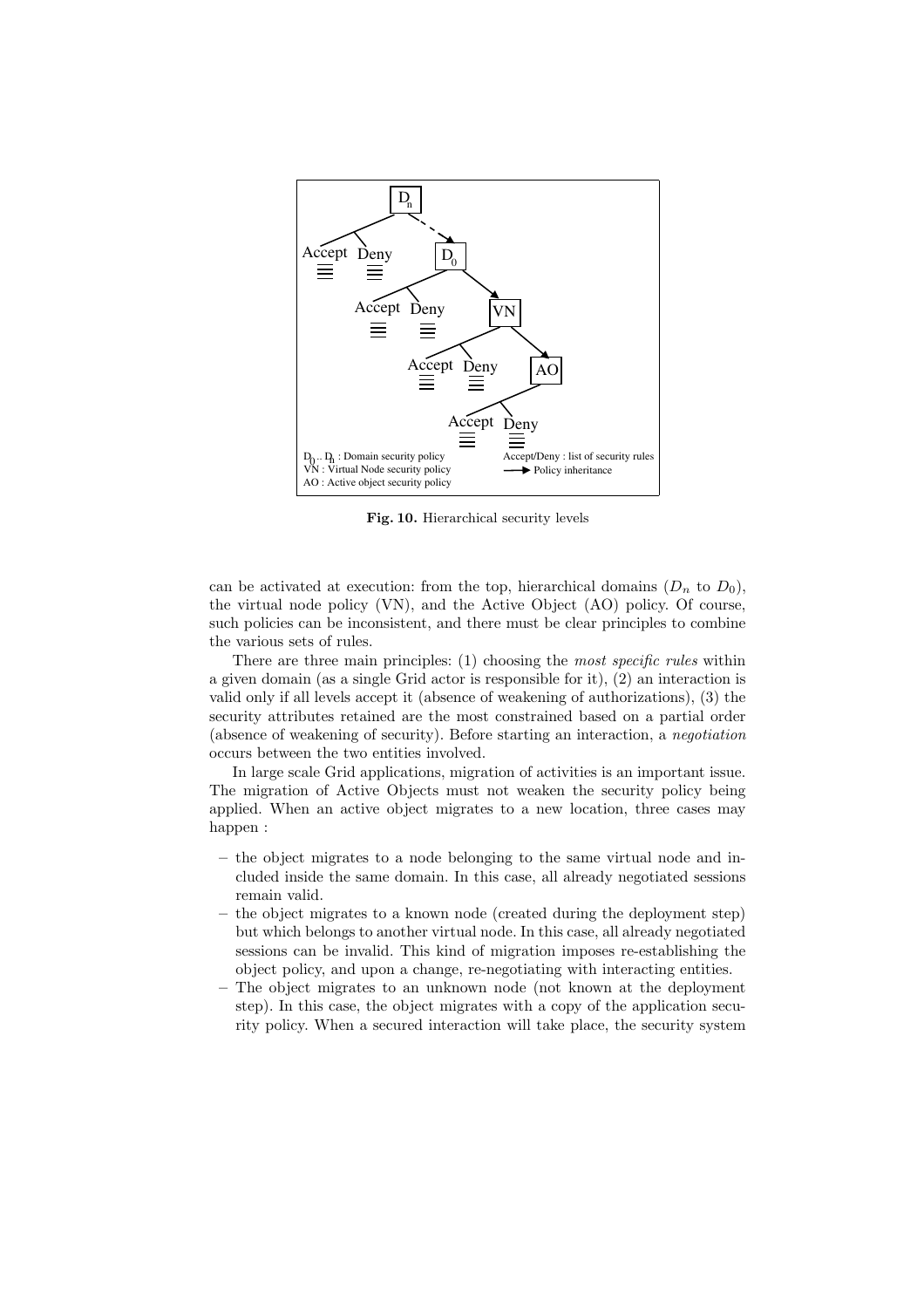

Fig. 10. Hierarchical security levels

can be activated at execution: from the top, hierarchical domains  $(D_n$  to  $D_0)$ , the virtual node policy (VN), and the Active Object (AO) policy. Of course, such policies can be inconsistent, and there must be clear principles to combine the various sets of rules.

There are three main principles: (1) choosing the most specific rules within a given domain (as a single Grid actor is responsible for it), (2) an interaction is valid only if all levels accept it (absence of weakening of authorizations), (3) the security attributes retained are the most constrained based on a partial order (absence of weakening of security). Before starting an interaction, a negotiation occurs between the two entities involved.

In large scale Grid applications, migration of activities is an important issue. The migration of Active Objects must not weaken the security policy being applied. When an active object migrates to a new location, three cases may happen :

- the object migrates to a node belonging to the same virtual node and included inside the same domain. In this case, all already negotiated sessions remain valid.
- the object migrates to a known node (created during the deployment step) but which belongs to another virtual node. In this case, all already negotiated sessions can be invalid. This kind of migration imposes re-establishing the object policy, and upon a change, re-negotiating with interacting entities.
- The object migrates to an unknown node (not known at the deployment step). In this case, the object migrates with a copy of the application security policy. When a secured interaction will take place, the security system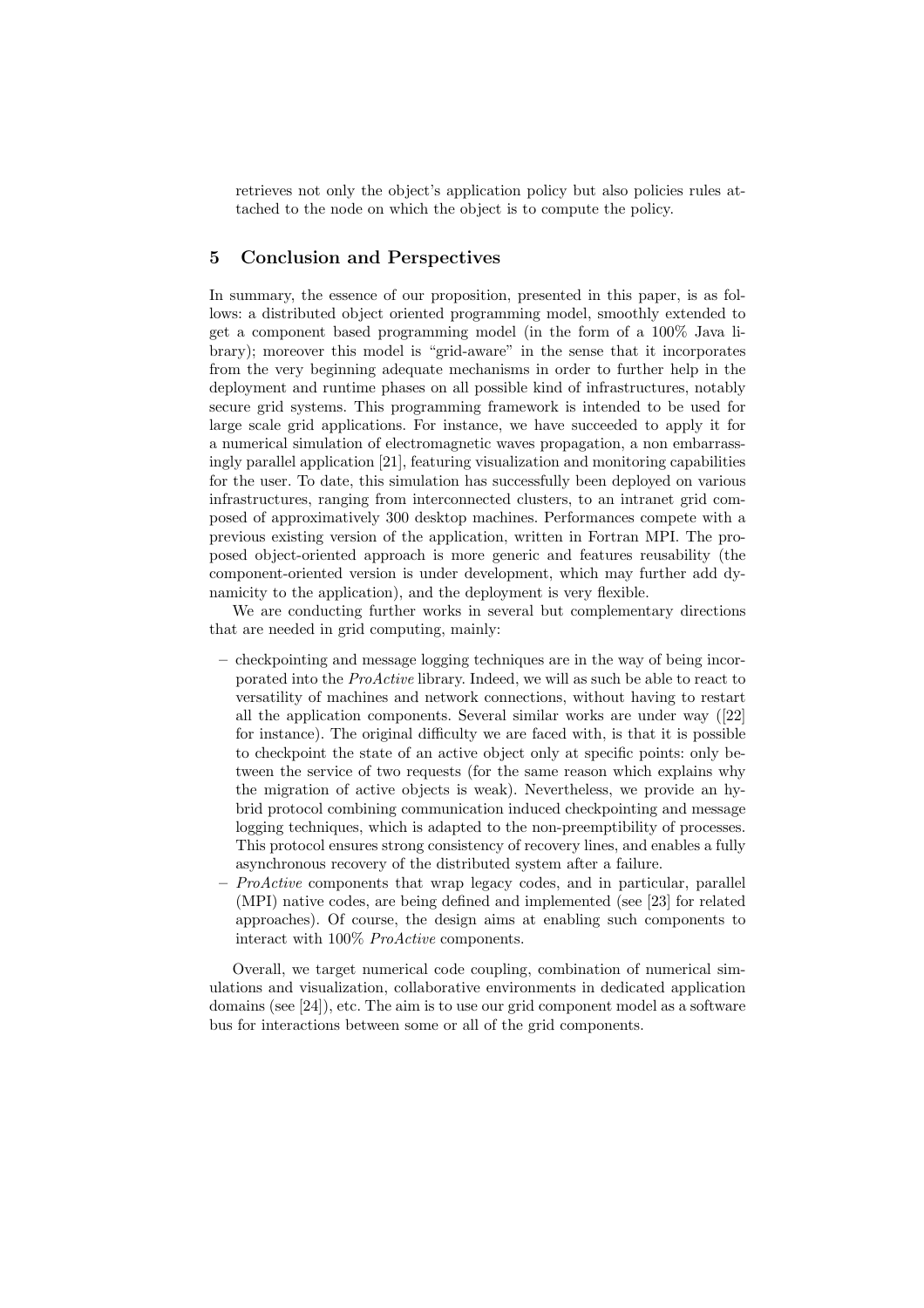retrieves not only the object's application policy but also policies rules attached to the node on which the object is to compute the policy.

# 5 Conclusion and Perspectives

In summary, the essence of our proposition, presented in this paper, is as follows: a distributed object oriented programming model, smoothly extended to get a component based programming model (in the form of a 100% Java library); moreover this model is "grid-aware" in the sense that it incorporates from the very beginning adequate mechanisms in order to further help in the deployment and runtime phases on all possible kind of infrastructures, notably secure grid systems. This programming framework is intended to be used for large scale grid applications. For instance, we have succeeded to apply it for a numerical simulation of electromagnetic waves propagation, a non embarrassingly parallel application [21], featuring visualization and monitoring capabilities for the user. To date, this simulation has successfully been deployed on various infrastructures, ranging from interconnected clusters, to an intranet grid composed of approximatively 300 desktop machines. Performances compete with a previous existing version of the application, written in Fortran MPI. The proposed object-oriented approach is more generic and features reusability (the component-oriented version is under development, which may further add dynamicity to the application), and the deployment is very flexible.

We are conducting further works in several but complementary directions that are needed in grid computing, mainly:

- checkpointing and message logging techniques are in the way of being incorporated into the ProActive library. Indeed, we will as such be able to react to versatility of machines and network connections, without having to restart all the application components. Several similar works are under way ([22] for instance). The original difficulty we are faced with, is that it is possible to checkpoint the state of an active object only at specific points: only between the service of two requests (for the same reason which explains why the migration of active objects is weak). Nevertheless, we provide an hybrid protocol combining communication induced checkpointing and message logging techniques, which is adapted to the non-preemptibility of processes. This protocol ensures strong consistency of recovery lines, and enables a fully asynchronous recovery of the distributed system after a failure.
- $-$  *ProActive* components that wrap legacy codes, and in particular, parallel (MPI) native codes, are being defined and implemented (see [23] for related approaches). Of course, the design aims at enabling such components to interact with 100% ProActive components.

Overall, we target numerical code coupling, combination of numerical simulations and visualization, collaborative environments in dedicated application domains (see [24]), etc. The aim is to use our grid component model as a software bus for interactions between some or all of the grid components.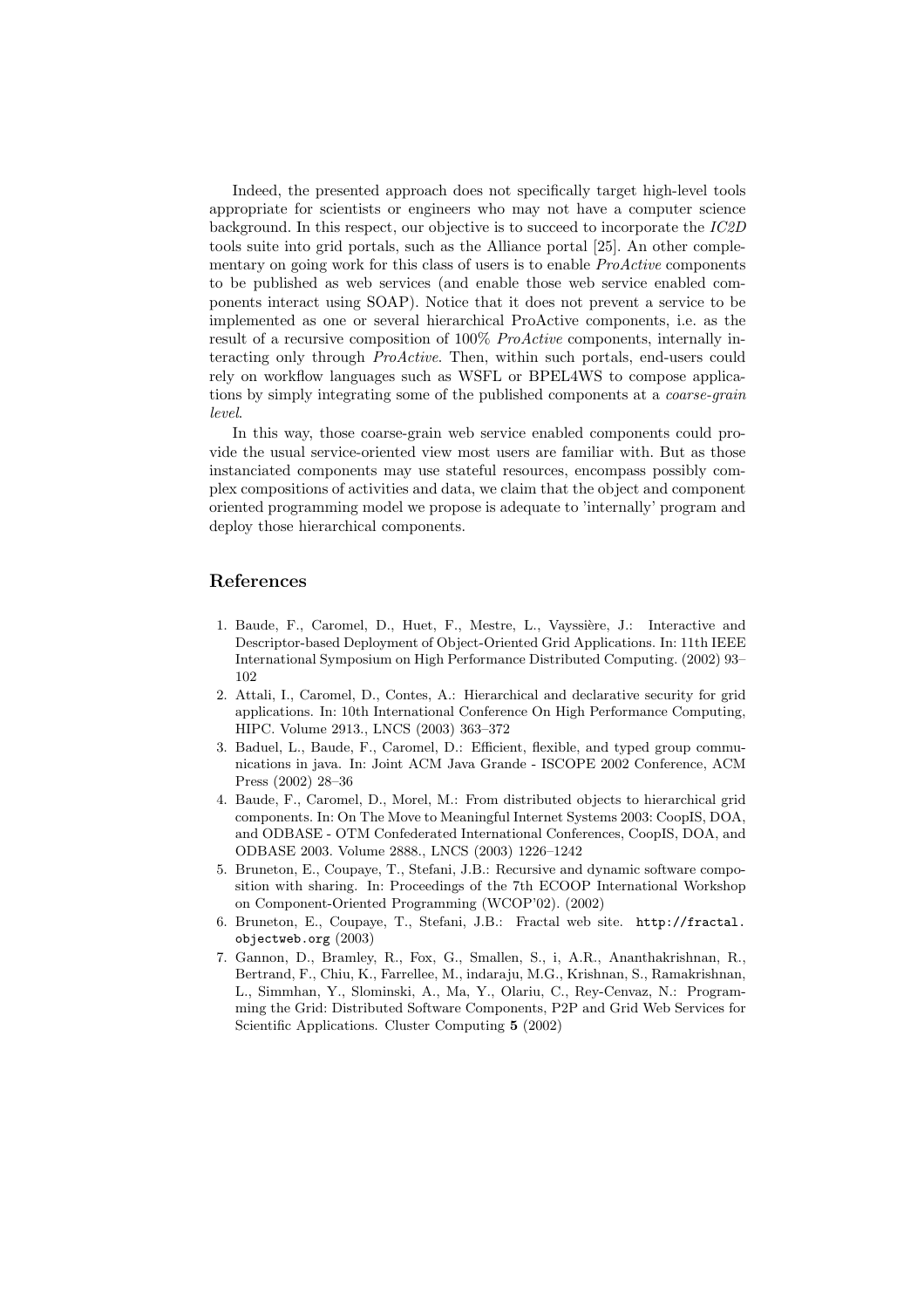Indeed, the presented approach does not specifically target high-level tools appropriate for scientists or engineers who may not have a computer science background. In this respect, our objective is to succeed to incorporate the IC2D tools suite into grid portals, such as the Alliance portal [25]. An other complementary on going work for this class of users is to enable *ProActive* components to be published as web services (and enable those web service enabled components interact using SOAP). Notice that it does not prevent a service to be implemented as one or several hierarchical ProActive components, i.e. as the result of a recursive composition of 100% *ProActive* components, internally interacting only through ProActive. Then, within such portals, end-users could rely on workflow languages such as WSFL or BPEL4WS to compose applications by simply integrating some of the published components at a coarse-grain level.

In this way, those coarse-grain web service enabled components could provide the usual service-oriented view most users are familiar with. But as those instanciated components may use stateful resources, encompass possibly complex compositions of activities and data, we claim that the object and component oriented programming model we propose is adequate to 'internally' program and deploy those hierarchical components.

## References

- 1. Baude, F., Caromel, D., Huet, F., Mestre, L., Vayssière, J.: Interactive and Descriptor-based Deployment of Object-Oriented Grid Applications. In: 11th IEEE International Symposium on High Performance Distributed Computing. (2002) 93– 102
- 2. Attali, I., Caromel, D., Contes, A.: Hierarchical and declarative security for grid applications. In: 10th International Conference On High Performance Computing, HIPC. Volume 2913., LNCS (2003) 363–372
- 3. Baduel, L., Baude, F., Caromel, D.: Efficient, flexible, and typed group communications in java. In: Joint ACM Java Grande - ISCOPE 2002 Conference, ACM Press (2002) 28–36
- 4. Baude, F., Caromel, D., Morel, M.: From distributed objects to hierarchical grid components. In: On The Move to Meaningful Internet Systems 2003: CoopIS, DOA, and ODBASE - OTM Confederated International Conferences, CoopIS, DOA, and ODBASE 2003. Volume 2888., LNCS (2003) 1226–1242
- 5. Bruneton, E., Coupaye, T., Stefani, J.B.: Recursive and dynamic software composition with sharing. In: Proceedings of the 7th ECOOP International Workshop on Component-Oriented Programming (WCOP'02). (2002)
- 6. Bruneton, E., Coupaye, T., Stefani, J.B.: Fractal web site. http://fractal. objectweb.org (2003)
- 7. Gannon, D., Bramley, R., Fox, G., Smallen, S., i, A.R., Ananthakrishnan, R., Bertrand, F., Chiu, K., Farrellee, M., indaraju, M.G., Krishnan, S., Ramakrishnan, L., Simmhan, Y., Slominski, A., Ma, Y., Olariu, C., Rey-Cenvaz, N.: Programming the Grid: Distributed Software Components, P2P and Grid Web Services for Scientific Applications. Cluster Computing 5 (2002)